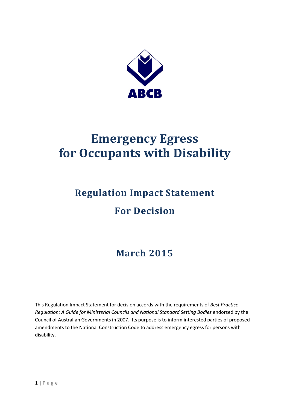

# **Emergency Egress for Occupants with Disability**

# **Regulation Impact Statement For Decision**

# **March 2015**

This Regulation Impact Statement for decision accords with the requirements of *Best Practice Regulation: A Guide for Ministerial Councils and National Standard Setting Bodies* endorsed by the Council of Australian Governments in 2007. Its purpose is to inform interested parties of proposed amendments to the National Construction Code to address emergency egress for persons with disability.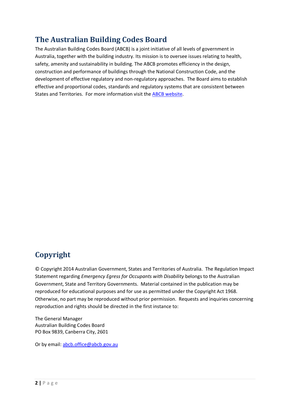## **The Australian Building Codes Board**

The Australian Building Codes Board (ABCB) is a joint initiative of all levels of government in Australia, together with the building industry. Its mission is to oversee issues relating to health, safety, amenity and sustainability in building. The ABCB promotes efficiency in the design, construction and performance of buildings through the National Construction Code, and the development of effective regulatory and non-regulatory approaches. The Board aims to establish effective and proportional codes, standards and regulatory systems that are consistent between States and Territories. For more information visit the [ABCB website.](http://www.abcb.gov.au/)

# **Copyright**

© Copyright 2014 Australian Government, States and Territories of Australia. The Regulation Impact Statement regarding *Emergency Egress for Occupants with Disability* belongs to the Australian Government, State and Territory Governments. Material contained in the publication may be reproduced for educational purposes and for use as permitted under the Copyright Act 1968. Otherwise, no part may be reproduced without prior permission. Requests and inquiries concerning reproduction and rights should be directed in the first instance to:

The General Manager Australian Building Codes Board PO Box 9839, Canberra City, 2601

Or by email: [abcb.office@abcb.gov.au](mailto:abcb.office@abcb.gov.au)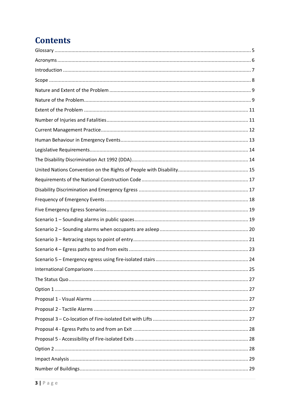# **Contents**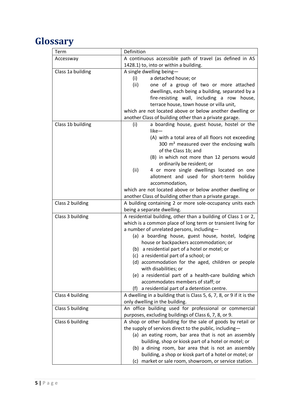# <span id="page-4-0"></span>**Glossary**

| Term              | Definition                                                                                                |  |  |  |  |  |
|-------------------|-----------------------------------------------------------------------------------------------------------|--|--|--|--|--|
| Accessway         | A continuous accessible path of travel (as defined in AS                                                  |  |  |  |  |  |
|                   | 1428.1) to, into or within a building.                                                                    |  |  |  |  |  |
| Class 1a building | A single dwelling being-                                                                                  |  |  |  |  |  |
|                   | a detached house; or<br>(i)                                                                               |  |  |  |  |  |
|                   | (ii)<br>one of a group of two or more attached                                                            |  |  |  |  |  |
|                   | dwellings, each being a building, separated by a                                                          |  |  |  |  |  |
|                   | fire-resisting wall, including a row house,                                                               |  |  |  |  |  |
|                   | terrace house, town house or villa unit,                                                                  |  |  |  |  |  |
|                   | which are not located above or below another dwelling or                                                  |  |  |  |  |  |
|                   | another Class of building other than a private garage.                                                    |  |  |  |  |  |
| Class 1b building | a boarding house, guest house, hostel or the<br>(i)                                                       |  |  |  |  |  |
|                   | like-                                                                                                     |  |  |  |  |  |
|                   | (A) with a total area of all floors not exceeding                                                         |  |  |  |  |  |
|                   | 300 m <sup>2</sup> measured over the enclosing walls                                                      |  |  |  |  |  |
|                   | of the Class 1b; and                                                                                      |  |  |  |  |  |
|                   | (B) in which not more than 12 persons would                                                               |  |  |  |  |  |
|                   | ordinarily be resident; or                                                                                |  |  |  |  |  |
|                   | (ii)<br>4 or more single dwellings located on one                                                         |  |  |  |  |  |
|                   | allotment and used for short-term holiday                                                                 |  |  |  |  |  |
|                   | accommodation,                                                                                            |  |  |  |  |  |
|                   | which are not located above or below another dwelling or                                                  |  |  |  |  |  |
|                   | another Class of building other than a private garage.                                                    |  |  |  |  |  |
| Class 2 building  | A building containing 2 or more sole-occupancy units each                                                 |  |  |  |  |  |
|                   | being a separate dwelling.                                                                                |  |  |  |  |  |
| Class 3 building  | A residential building, other than a building of Class 1 or 2,                                            |  |  |  |  |  |
|                   | which is a common place of long term or transient living for<br>a number of unrelated persons, including- |  |  |  |  |  |
|                   | (a) a boarding house, guest house, hostel, lodging                                                        |  |  |  |  |  |
|                   | house or backpackers accommodation; or                                                                    |  |  |  |  |  |
|                   | (b) a residential part of a hotel or motel; or                                                            |  |  |  |  |  |
|                   | (c) a residential part of a school; or                                                                    |  |  |  |  |  |
|                   | (d) accommodation for the aged, children or people                                                        |  |  |  |  |  |
|                   | with disabilities; or                                                                                     |  |  |  |  |  |
|                   | (e) a residential part of a health-care building which                                                    |  |  |  |  |  |
|                   | accommodates members of staff; or                                                                         |  |  |  |  |  |
|                   | a residential part of a detention centre.<br>(f)                                                          |  |  |  |  |  |
| Class 4 building  | A dwelling in a building that is Class 5, 6, 7, 8, or 9 if it is the                                      |  |  |  |  |  |
|                   | only dwelling in the building.                                                                            |  |  |  |  |  |
| Class 5 building  | An office building used for professional or commercial                                                    |  |  |  |  |  |
|                   | purposes, excluding buildings of Class 6, 7, 8, or 9.                                                     |  |  |  |  |  |
| Class 6 building  | A shop or other building for the sale of goods by retail or                                               |  |  |  |  |  |
|                   | the supply of services direct to the public, including-                                                   |  |  |  |  |  |
|                   | (a) an eating room, bar area that is not an assembly                                                      |  |  |  |  |  |
|                   | building, shop or kiosk part of a hotel or motel; or                                                      |  |  |  |  |  |
|                   | (b) a dining room, bar area that is not an assembly                                                       |  |  |  |  |  |
|                   | building, a shop or kiosk part of a hotel or motel; or                                                    |  |  |  |  |  |
|                   | (c) market or sale room, showroom, or service station.                                                    |  |  |  |  |  |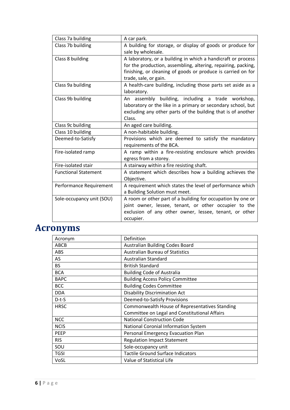| Class 7a building           | A car park.                                                                                                                                                                                                            |
|-----------------------------|------------------------------------------------------------------------------------------------------------------------------------------------------------------------------------------------------------------------|
| Class 7b building           | A building for storage, or display of goods or produce for<br>sale by wholesale.                                                                                                                                       |
| Class 8 building            | A laboratory, or a building in which a handicraft or process<br>for the production, assembling, altering, repairing, packing,<br>finishing, or cleaning of goods or produce is carried on for<br>trade, sale, or gain. |
| Class 9a building           | A health-care building, including those parts set aside as a<br>laboratory.                                                                                                                                            |
| Class 9b building           | An assembly building, including a trade workshop,<br>laboratory or the like in a primary or secondary school, but<br>excluding any other parts of the building that is of another<br>Class.                            |
| Class 9c building           | An aged care building.                                                                                                                                                                                                 |
| Class 10 building           | A non-habitable building.                                                                                                                                                                                              |
| Deemed-to-Satisfy           | Provisions which are deemed to satisfy the mandatory<br>requirements of the BCA.                                                                                                                                       |
| Fire-isolated ramp          | A ramp within a fire-resisting enclosure which provides<br>egress from a storey.                                                                                                                                       |
| Fire-isolated stair         | A stairway within a fire resisting shaft.                                                                                                                                                                              |
| <b>Functional Statement</b> | A statement which describes how a building achieves the<br>Objective.                                                                                                                                                  |
| Performance Requirement     | A requirement which states the level of performance which<br>a Building Solution must meet.                                                                                                                            |
| Sole-occupancy unit (SOU)   | A room or other part of a building for occupation by one or<br>joint owner, lessee, tenant, or other occupier to the<br>exclusion of any other owner, lessee, tenant, or other<br>occupier.                            |

# <span id="page-5-0"></span>**Acronyms**

| Acronym     | Definition                                     |
|-------------|------------------------------------------------|
| ABCB        | Australian Building Codes Board                |
| <b>ABS</b>  | <b>Australian Bureau of Statistics</b>         |
| AS          | Australian Standard                            |
| <b>BS</b>   | <b>British Standard</b>                        |
| <b>BCA</b>  | <b>Building Code of Australia</b>              |
| <b>BAPC</b> | <b>Building Access Policy Committee</b>        |
| <b>BCC</b>  | <b>Building Codes Committee</b>                |
| <b>DDA</b>  | <b>Disability Discrimination Act</b>           |
| $D-t-S$     | Deemed-to-Satisfy Provisions                   |
| <b>HRSC</b> | Commonwealth House of Representatives Standing |
|             | Committee on Legal and Constitutional Affairs  |
| <b>NCC</b>  | <b>National Construction Code</b>              |
| <b>NCIS</b> | National Coronial Information System           |
| <b>PEEP</b> | Personal Emergency Evacuation Plan             |
| <b>RIS</b>  | <b>Regulation Impact Statement</b>             |
| SOU         | Sole-occupancy unit                            |
| <b>TGSI</b> | <b>Tactile Ground Surface Indicators</b>       |
| VoSL        | Value of Statistical Life                      |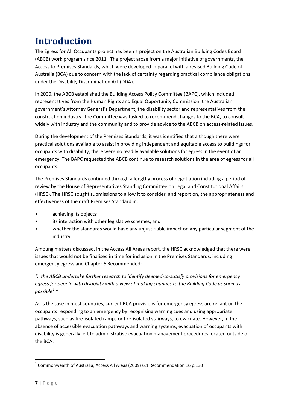# <span id="page-6-0"></span>**Introduction**

The Egress for All Occupants project has been a project on the Australian Building Codes Board (ABCB) work program since 2011. The project arose from a major initiative of governments, the Access to Premises Standards, which were developed in parallel with a revised Building Code of Australia (BCA) due to concern with the lack of certainty regarding practical compliance obligations under the Disability Discrimination Act (DDA).

In 2000, the ABCB established the Building Access Policy Committee (BAPC), which included representatives from the Human Rights and Equal Opportunity Commission, the Australian government's Attorney General's Department, the disability sector and representatives from the construction industry. The Committee was tasked to recommend changes to the BCA, to consult widely with industry and the community and to provide advice to the ABCB on access-related issues.

During the development of the Premises Standards, it was identified that although there were practical solutions available to assist in providing independent and equitable access to buildings for occupants with disability, there were no readily available solutions for egress in the event of an emergency. The BAPC requested the ABCB continue to research solutions in the area of egress for all occupants.

The Premises Standards continued through a lengthy process of negotiation including a period of review by the House of Representatives Standing Committee on Legal and Constitutional Affairs (HRSC). The HRSC sought submissions to allow it to consider, and report on, the appropriateness and effectiveness of the draft Premises Standard in:

- achieving its objects;
- its interaction with other legislative schemes: and
- whether the standards would have any unjustifiable impact on any particular segment of the industry.

Amoung matters discussed, in the Access All Areas report, the HRSC acknowledged that there were issues that would not be finalised in time for inclusion in the Premises Standards, including emergency egress and Chapter 6 Recommended:

*"…the ABCB undertake further research to identify deemed-to-satisfy provisions for emergency egress for people with disability with a view of making changes to the Building Code as soon as possible[1](#page-6-1) ."*

As is the case in most countries, current BCA provisions for emergency egress are reliant on the occupants responding to an emergency by recognising warning cues and using appropriate pathways, such as fire-isolated ramps or fire-isolated stairways, to evacuate. However, in the absence of accessible evacuation pathways and warning systems, evacuation of occupants with disability is generally left to administrative evacuation management procedures located outside of the BCA.

<span id="page-6-1"></span> $1$  Commonwealth of Australia, Access All Areas (2009) 6.1 Recommendation 16 p.130 1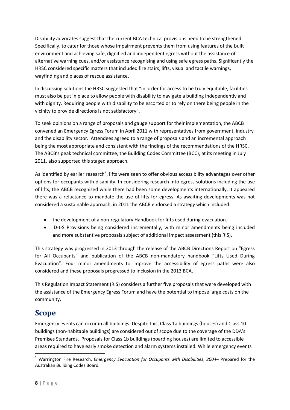Disability advocates suggest that the current BCA technical provisions need to be strengthened. Specifically, to cater for those whose impairment prevents them from using features of the built environment and achieving safe, dignified and independent egress without the assistance of alternative warning cues, and/or assistance recognising and using safe egress paths. Significantly the HRSC considered specific matters that included fire stairs, lifts, visual and tactile warnings, wayfinding and places of rescue assistance.

In discussing solutions the HRSC suggested that "in order for access to be truly equitable, facilities must also be put in place to allow people with disability to navigate a building independently and with dignity. Requiring people with disability to be escorted or to rely on there being people in the vicinity to provide directions is not satisfactory".

To seek opinions on a range of proposals and gauge support for their implementation, the ABCB convened an Emergency Egress Forum in April 2011 with representatives from government, industry and the disability sector. Attendees agreed to a range of proposals and an incremental approach being the most appropriate and consistent with the findings of the recommendations of the HRSC. The ABCB's peak technical committee, the Building Codes Committee (BCC), at its meeting in July 2011, also supported this staged approach.

As identified by earlier research<sup>[2](#page-7-1)</sup>, lifts were seen to offer obvious accessibility advantages over other options for occupants with disability. In considering research into egress solutions including the use of lifts, the ABCB recognised while there had been some developments internationally, it appeared there was a reluctance to mandate the use of lifts for egress. As awaiting developments was not considered a sustainable approach, in 2011 the ABCB endorsed a strategy which included:

- the development of a non-regulatory Handbook for lifts used during evacuation.
- D-t-S Provisions being considered incrementally, with minor amendments being included and more substantive proposals subject of additional impact assessment (this RIS).

This strategy was progressed in 2013 through the release of the ABCB Directions Report on "Egress for All Occupants" and publication of the ABCB non-mandatory handbook "Lifts Used During Evacuation". Four minor amendments to improve the accessibility of egress paths were also considered and these proposals progressed to inclusion in the 2013 BCA.

This Regulation Impact Statement (RIS) considers a further five proposals that were developed with the assistance of the Emergency Egress Forum and have the potential to impose large costs on the community.

## <span id="page-7-0"></span>**Scope**

Emergency events can occur in all buildings. Despite this, Class 1a buildings (houses) and Class 10 buildings (non-habitable buildings) are considered out of scope due to the coverage of the DDA's Premises Standards. Proposals for Class 1b buildings (boarding houses) are limited to accessible areas required to have early smoke detection and alarm systems installed. While emergency events

<span id="page-7-1"></span><sup>2</sup> Warrington Fire Research, *Emergency Evacuation for Occupants with Disabilities, 2004*– Prepared for the Australian Building Codes Board. **.**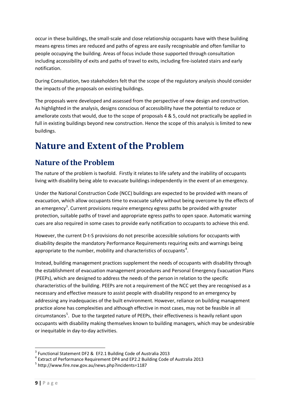occur in these buildings, the small-scale and close relationship occupants have with these building means egress times are reduced and paths of egress are easily recognisable and often familiar to people occupying the building. Areas of focus include those supported through consultation including accessibility of exits and paths of travel to exits, including fire-isolated stairs and early notification.

During Consultation, two stakeholders felt that the scope of the regulatory analysis should consider the impacts of the proposals on existing buildings.

The proposals were developed and assessed from the perspective of new design and construction. As highlighted in the analysis, designs conscious of accessibility have the potential to reduce or ameliorate costs that would, due to the scope of proposals 4 & 5, could not practically be applied in full in existing buildings beyond new construction. Hence the scope of this analysis is limited to new buildings.

# <span id="page-8-0"></span>**Nature and Extent of the Problem**

# <span id="page-8-1"></span>**Nature of the Problem**

The nature of the problem is twofold. Firstly it relates to life safety and the inability of occupants living with disability being able to evacuate buildings independently in the event of an emergency.

Under the National Construction Code (NCC) buildings are expected to be provided with means of evacuation, which allow occupants time to evacuate safely without being overcome by the effects of an emergency<sup>[3](#page-8-2)</sup>. Current provisions require emergency egress paths be provided with greater protection, suitable paths of travel and appropriate egress paths to open space. Automatic warning cues are also required in some cases to provide early notification to occupants to achieve this end.

However, the current D-t-S provisions do not prescribe accessible solutions for occupants with disability despite the mandatory Performance Requirements requiring exits and warnings being appropriate to the number, mobility and characteristics of occupants<sup>[4](#page-8-3)</sup>.

Instead, building management practices supplement the needs of occupants with disability through the establishment of evacuation management procedures and Personal Emergency Evacuation Plans (PEEPs), which are designed to address the needs of the person in relation to the specific characteristics of the building. PEEPs are not a requirement of the NCC yet they are recognised as a necessary and effective measure to assist people with disability respond to an emergency by addressing any inadequacies of the built environment. However, reliance on building management practice alone has complexities and although effective in most cases, may not be feasible in all circumstances<sup>[5](#page-8-4)</sup>. Due to the targeted nature of PEEPs, their effectiveness is heavily reliant upon occupants with disability making themselves known to building managers, which may be undesirable or inequitable in day-to-day activities.

<span id="page-8-2"></span><sup>&</sup>lt;sup>3</sup> Functional Statement DF2 & EF2.1 Building Code of Australia 2013

<span id="page-8-3"></span><sup>4</sup> Extract of Performance Requirement DP4 and EP2.2 Building Code of Australia 2013

<span id="page-8-4"></span><sup>5</sup> http://www.fire.nsw.gov.au/news.php?incidents=1187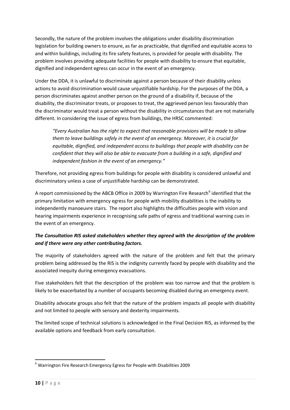Secondly, the nature of the problem involves the obligations under disability discrimination legislation for building owners to ensure, as far as practicable, that dignified and equitable access to and within buildings, including its fire safety features, is provided for people with disability. The problem involves providing adequate facilities for people with disability to ensure that equitable, dignified and independent egress can occur in the event of an emergency.

Under the DDA, it is unlawful to discriminate against a person because of their disability unless actions to avoid discrimination would cause unjustifiable hardship. For the purposes of the DDA, a person discriminates against another person on the ground of a disability if, because of the disability, the discriminator treats, or proposes to treat, the aggrieved person less favourably than the discriminator would treat a person without the disability in circumstances that are not materially different. In considering the issue of egress from buildings, the HRSC commented:

*"Every Australian has the right to expect that reasonable provisions will be made to allow them to leave buildings safely in the event of an emergency. Moreover, it is crucial for equitable, dignified, and independent access to buildings that people with disability can be confident that they will also be able to evacuate from a building in a safe, dignified and independent fashion in the event of an emergency."* 

Therefore, not providing egress from buildings for people with disability is considered unlawful and discriminatory unless a case of unjustifiable hardship can be demonstrated.

A report commissioned by the ABCB Office in 2009 by Warrington Fire Research<sup>[6](#page-9-0)</sup> identified that the primary limitation with emergency egress for people with mobility disabilities is the inability to independently manoeuvre stairs. The report also highlights the difficulties people with vision and hearing impairments experience in recognising safe paths of egress and traditional warning cues in the event of an emergency.

#### *The Consultation RIS asked stakeholders whether they agreed with the description of the problem and if there were any other contributing factors.*

The majority of stakeholders agreed with the nature of the problem and felt that the primary problem being addressed by the RIS is the indignity currently faced by people with disability and the associated inequity during emergency evacuations.

Five stakeholders felt that the description of the problem was too narrow and that the problem is likely to be exacerbated by a number of occupants becoming disabled during an emergency event.

Disability advocate groups also felt that the nature of the problem impacts all people with disability and not limited to people with sensory and dexterity impairments.

The limited scope of technical solutions is acknowledged in the Final Decision RIS, as informed by the available options and feedback from early consultation.

<span id="page-9-0"></span><sup>6</sup> Warrington Fire Research Emergency Egress for People with Disabilities 2009 1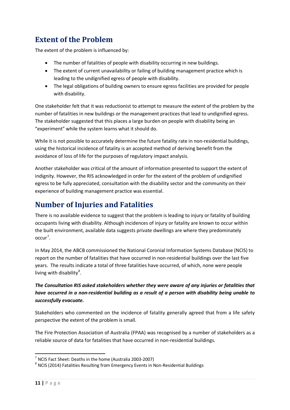# <span id="page-10-0"></span>**Extent of the Problem**

The extent of the problem is influenced by:

- The number of fatalities of people with disability occurring in new buildings.
- The extent of current unavailability or failing of building management practice which is leading to the undignified egress of people with disability.
- The legal obligations of building owners to ensure egress facilities are provided for people with disability.

One stakeholder felt that it was reductionist to attempt to measure the extent of the problem by the number of fatalities in new buildings or the management practices that lead to undignified egress. The stakeholder suggested that this places a large burden on people with disability being an "experiment" while the system learns what it should do.

While it is not possible to accurately determine the future fatality rate in non-residential buildings, using the historical incidence of fatality is an accepted method of deriving benefit from the avoidance of loss of life for the purposes of regulatory impact analysis.

Another stakeholder was critical of the amount of information presented to support the extent of indignity. However, the RIS acknowledged in order for the extent of the problem of undignified egress to be fully appreciated, consultation with the disability sector and the community on their experience of building management practice was essential.

## <span id="page-10-1"></span>**Number of Injuries and Fatalities**

There is no available evidence to suggest that the problem is leading to injury or fatality of building occupants living with disability. Although incidences of injury or fatality are known to occur within the built environment, available data suggests private dwellings are where they predominately occur<sup>[7](#page-10-2)</sup>.

In May 2014, the ABCB commissioned the National Coronial Information Systems Database (NCIS) to report on the number of fatalities that have occurred in non-residential buildings over the last five years. The results indicate a total of three fatalities have occurred, of which, none were people living with disability<sup>[8](#page-10-3)</sup>.

#### *The Consultation RIS asked stakeholders whether they were aware of any injuries or fatalities that have occurred in a non-residential building as a result of a person with disability being unable to successfully evacuate.*

Stakeholders who commented on the incidence of fatality generally agreed that from a life safety perspective the extent of the problem is small.

The Fire Protection Association of Australia (FPAA) was recognised by a number of stakeholders as a reliable source of data for fatalities that have occurred in non-residential buildings.

<span id="page-10-3"></span><span id="page-10-2"></span><sup>&</sup>lt;sup>7</sup> NCIS Fact Sheet: Deaths in the home (Australia 2003-2007)<br><sup>8</sup> NCIS (2014) Fatalities Resulting from Emergency Events in Non-Residential Buildings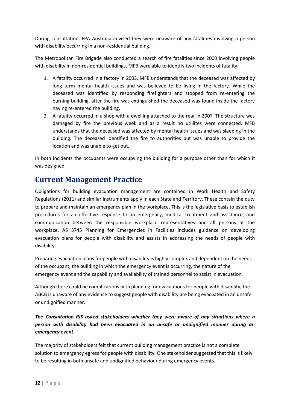During consultation, FPA Australia advised they were unaware of any fatalities involving a person with disability occurring in a non-residential building.

The Metropolitan Fire Brigade also conducted a search of fire fatalities since 2000 involving people with disability in non-residential buildings. MFB were able to identify two incidents of fatality.

- 1. A fatality occurred in a factory in 2003. MFB understands that the deceased was affected by long term mental health issues and was believed to be living in the factory. While the deceased was identified by responding firefighters and stopped from re-entering the burning building, after the fire was extinguished the deceased was found inside the factory having re-entered the building.
- 2. A fatality occurred in a shop with a dwelling attached to the rear in 2007. The structure was damaged by fire the previous week and as a result no utlilites were connected. MFB understands that the deceased was affected by mental health issues and was sleeping in the building. The deceased identified the fire to authorities but was unable to provide the location and was unable to get out.

In both incidents the occupants were occupying the building for a purpose other than for which it was designed.

### <span id="page-11-0"></span>**Current Management Practice**

Obligations for building evacuation management are contained in Work Health and Safety Regulations (2011) and similar instruments apply in each State and Territory. These contain the duty to prepare and maintain an emergency plan in the workplace. This is the legislative basis to establish procedures for an effective response to an emergency, medical treatment and assistance, and communication between the responsible workplace representatives and all persons at the workplace. AS 3745 Planning for Emergencies in Facilities includes guidance on developing evacuation plans for people with disability and assists in addressing the needs of people with disability.

Preparing evacuation plans for people with disability is highly complex and dependent on the needs of the occupant, the building in which the emergency event is occurring, the nature of the emergency event and the capability and availability of trained personnel to assist in evacuation.

Although there could be complications with planning for evacuations for people with disability, the ABCB is unaware of any evidence to suggest people with disability are being evacuated in an unsafe or undignified manner.

#### *The Consultation RIS asked stakeholders whether they were aware of any situations where a person with disability had been evacuated in an unsafe or undignified manner during an emergency event.*

The majority of stakeholders felt that current building management practice is not a complete solution to emergency egress for people with disability. One stakeholder suggested that this is likely to be resulting in both unsafe and undignified behaviour during emergency events.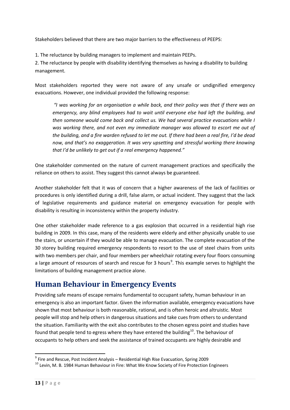Stakeholders believed that there are two major barriers to the effectiveness of PEEPS:

1. The reluctance by building managers to implement and maintain PEEPs.

2. The reluctance by people with disability identifying themselves as having a disability to building management.

Most stakeholders reported they were not aware of any unsafe or undignified emergency evacuations. However, one individual provided the following response:

*"I was working for an organisation a while back, and their policy was that if there was an emergency, any blind employees had to wait until everyone else had left the building, and then someone would come back and collect us. We had several practice evacuations while I was working there, and not even my immediate manager was allowed to escort me out of the building, and a fire warden refused to let me out. If there had been a real fire, I'd be dead now, and that's no exaggeration. It was very upsetting and stressful working there knowing that I'd be unlikely to get out if a real emergency happened."*

One stakeholder commented on the nature of current management practices and specifically the reliance on others to assist. They suggest this cannot always be guaranteed.

Another stakeholder felt that it was of concern that a higher awareness of the lack of facilities or procedures is only identified during a drill, false alarm, or actual incident. They suggest that the lack of legislative requirements and guidance material on emergency evacuation for people with disability is resulting in inconsistency within the property industry.

One other stakeholder made reference to a gas explosion that occurred in a residential high rise building in 2009. In this case, many of the residents were elderly and either physically unable to use the stairs, or uncertain if they would be able to manage evacuation. The complete evacuation of the 30 storey building required emergency respondents to resort to the use of steel chairs from units with two members per chair, and four members per wheelchair rotating every four floors consuming a large amount of resources of search and rescue for 3 hours<sup>[9](#page-12-1)</sup>. This example serves to highlight the limitations of building management practice alone.

## <span id="page-12-0"></span>**Human Behaviour in Emergency Events**

Providing safe means of escape remains fundamental to occupant safety, human behaviour in an emergency is also an important factor. Given the information available, emergency evacuations have shown that most behaviour is both reasonable, rational, and is often heroic and altruistic. Most people will stop and help others in dangerous situations and take cues from others to understand the situation. Familiarity with the exit also contributes to the chosen egress point and studies have found that people tend to egress where they have entered the building $^{10}$ . The behaviour of occupants to help others and seek the assistance of trained occupants are highly desirable and

<span id="page-12-1"></span> $9$  Fire and Rescue, Post Incident Analysis – Residential High Rise Evacuation, Spring 2009

<span id="page-12-2"></span><sup>&</sup>lt;sup>10</sup> Levin. M. B. 1984 Human Behaviour in Fire: What We Know Society of Fire Protection Engineers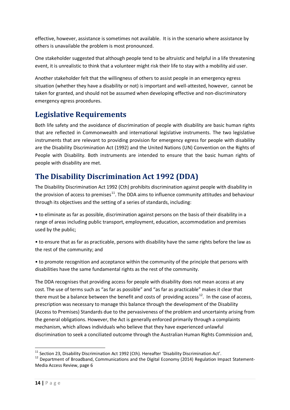effective, however, assistance is sometimes not available. It is in the scenario where assistance by others is unavailable the problem is most pronounced.

One stakeholder suggested that although people tend to be altruistic and helpful in a life threatening event, it is unrealistic to think that a volunteer might risk their life to stay with a mobility aid user.

Another stakeholder felt that the willingness of others to assist people in an emergency egress situation (whether they have a disability or not) is important and well-attested, however, cannot be taken for granted, and should not be assumed when developing effective and non-discriminatory emergency egress procedures.

## <span id="page-13-0"></span>**Legislative Requirements**

Both life safety and the avoidance of discrimination of people with disability are basic human rights that are reflected in Commonwealth and international legislative instruments. The two legislative instruments that are relevant to providing provision for emergency egress for people with disability are the Disability Discrimination Act (1992) and the United Nations (UN) Convention on the Rights of People with Disability. Both instruments are intended to ensure that the basic human rights of people with disability are met.

# <span id="page-13-1"></span>**The Disability Discrimination Act 1992 (DDA)**

The Disability Discrimination Act 1992 (Cth) prohibits discrimination against people with disability in the provision of access to premises<sup>[11](#page-13-2)</sup>. The DDA aims to influence community attitudes and behaviour through its objectives and the setting of a series of standards, including:

• to eliminate as far as possible, discrimination against persons on the basis of their disability in a range of areas including public transport, employment, education, accommodation and premises used by the public;

• to ensure that as far as practicable, persons with disability have the same rights before the law as the rest of the community; and

• to promote recognition and acceptance within the community of the principle that persons with disabilities have the same fundamental rights as the rest of the community.

The DDA recognises that providing access for people with disability does not mean access at any cost. The use of terms such as "as far as possible" and "as far as practicable" makes it clear that there must be a balance between the benefit and costs of providing access<sup>[12](#page-13-3)</sup>. In the case of access, prescription was necessary to manage this balance through the development of the Disability (Access to Premises) Standards due to the pervasiveness of the problem and uncertainty arising from the general obligations. However, the Act is generally enforced primarily through a complaints mechanism, which allows individuals who believe that they have experienced unlawful discrimination to seek a conciliated outcome through the Australian Human Rights Commission and,

<span id="page-13-3"></span><span id="page-13-2"></span><sup>&</sup>lt;sup>11</sup> Section 23, Disability Discrimination Act 1992 (Cth). Hereafter 'Disability Discrimination Act'.<br><sup>12</sup> Department of Broadband, Communications and the Digital Economy (2014) Regulation Impact Statement-Media Access Review, page 6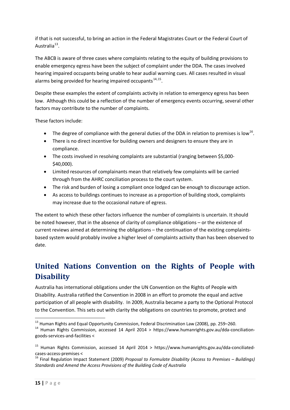if that is not successful, to bring an action in the Federal Magistrates Court or the Federal Court of Australia $^{13}$  $^{13}$  $^{13}$ .

The ABCB is aware of three cases where complaints relating to the equity of building provisions to enable emergency egress have been the subject of complaint under the DDA. The cases involved hearing impaired occupants being unable to hear audial warning cues. All cases resulted in visual alarms being provided for hearing impaired occupants  $14,15$  $14,15$ .

Despite these examples the extent of complaints activity in relation to emergency egress has been low. Although this could be a reflection of the number of emergency events occurring, several other factors may contribute to the number of complaints.

These factors include:

- The degree of compliance with the general duties of the DDA in relation to premises is low<sup>16</sup>.
- There is no direct incentive for building owners and designers to ensure they are in compliance.
- The costs involved in resolving complaints are substantial (ranging between \$5,000- \$40,000).
- Limited resources of complainants mean that relatively few complaints will be carried through from the AHRC conciliation process to the court system.
- The risk and burden of losing a compliant once lodged can be enough to discourage action.
- As access to buildings continues to increase as a proportion of building stock, complaints may increase due to the occasional nature of egress.

The extent to which these other factors influence the number of complaints is uncertain. It should be noted however, that in the absence of clarity of compliance obligations – or the existence of current reviews aimed at determining the obligations – the continuation of the existing complaintsbased system would probably involve a higher level of complaints activity than has been observed to date.

# <span id="page-14-0"></span>**United Nations Convention on the Rights of People with Disability**

Australia has international obligations under the UN Convention on the Rights of People with Disability. Australia ratified the Convention in 2008 in an effort to promote the equal and active participation of all people with disability. In 2009, Australia became a party to the Optional Protocol to the Convention. This sets out with clarity the obligations on countries to promote, protect and

<span id="page-14-1"></span><sup>&</sup>lt;sup>13</sup> Human Rights and Equal Opportunity Commission, Federal Discrimination Law (2008), pp. 259-260.

<span id="page-14-2"></span> $14$  Human Rights Commission, accessed 14 April 2014 > https://www.humanrights.gov.au/dda-conciliationgoods-services-and-facilities <

<span id="page-14-3"></span><sup>&</sup>lt;sup>15</sup> Human Rights Commission, accessed 14 April 2014 > https://www.humanrights.gov.au/dda-conciliatedcases-access-premises <sup>&</sup>lt; <sup>16</sup> Final Regulation Impact Statement (2009) *Proposal to Formulate Disability (Access to Premises – Buildings)* 

<span id="page-14-4"></span>*Standards and Amend the Access Provisions of the Building Code of Australia*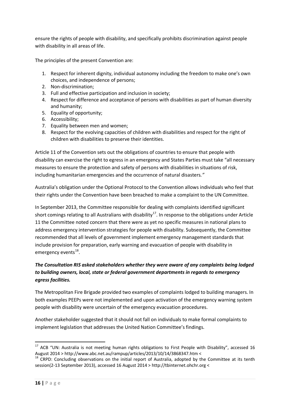ensure the rights of people with disability, and specifically prohibits discrimination against people with disability in all areas of life.

The principles of the present Convention are:

- 1. Respect for inherent dignity, individual autonomy including the freedom to make one's own choices, and independence of persons;
- 2. Non-discrimination;
- 3. Full and effective participation and inclusion in society;
- 4. Respect for difference and acceptance of persons with disabilities as part of human diversity and humanity;
- 5. Equality of opportunity;
- 6. Accessibility;
- 7. Equality between men and women;
- 8. Respect for the evolving capacities of children with disabilities and respect for the right of children with disabilities to preserve their identities.

Article 11 of the Convention sets out the obligations of countries to ensure that people with disability can exercise the right to egress in an emergency and States Parties must take "all necessary measures to ensure the protection and safety of persons with disabilities in situations of risk, including humanitarian emergencies and the occurrence of natural disasters*."*

Australia's obligation under the Optional Protocol to the Convention allows individuals who feel that their rights under the Convention have been breached to make a complaint to the UN Committee.

In September 2013, the Committee responsible for dealing with complaints identified significant short comings relating to all Australians with disability<sup>17</sup>. In response to the obligations under Article 11 the Committee noted concern that there were as yet no specific measures in national plans to address emergency intervention strategies for people with disability. Subsequently, the Committee recommended that all levels of government implement emergency management standards that include provision for preparation, early warning and evacuation of people with disability in emergency events $^{18}$ .

#### *The Consultation RIS asked stakeholders whether they were aware of any complaints being lodged to building owners, local, state or federal government departments in regards to emergency egress facilities.*

The Metropolitan Fire Brigade provided two examples of complaints lodged to building managers. In both examples PEEPs were not implemented and upon activation of the emergency warning system people with disability were uncertain of the emergency evacuation procedures.

Another stakeholder suggested that it should not fall on individuals to make formal complaints to implement legislation that addresses the United Nation Committee's findings.

<span id="page-15-0"></span> $17$  ACB "UN: Australia is not meeting human rights obligations to First People with Disability", accessed 16 August 2014 > http://www.abc.net.au/rampup/articles/2013/10/14/3868347.htm <  $^{18}$  CRPD: Concluding observations on the initial report of Australia, adopted by the Committee at its tenth

<span id="page-15-1"></span>session(2-13 September 2013), accessed 16 August 2014 > http://tbinternet.ohchr.org <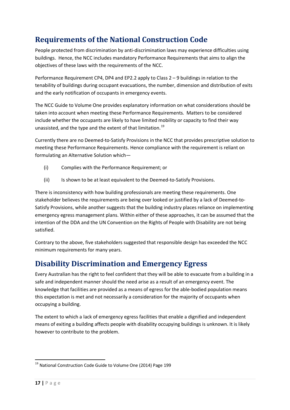# <span id="page-16-0"></span>**Requirements of the National Construction Code**

People protected from discrimination by anti-discrimination laws may experience difficulties using buildings. Hence, the NCC includes mandatory Performance Requirements that aims to align the objectives of these laws with the requirements of the NCC.

Performance Requirement CP4, DP4 and EP2.2 apply to Class 2 – 9 buildings in relation to the tenability of buildings during occupant evacuations, the number, dimension and distribution of exits and the early notification of occupants in emergency events.

The NCC Guide to Volume One provides explanatory information on what considerations should be taken into account when meeting these Performance Requirements. Matters to be considered include whether the occupants are likely to have limited mobility or capacity to find their way unassisted, and the type and the extent of that limitation.<sup>[19](#page-16-2)</sup>

Currently there are no Deemed-to-Satisfy Provisions in the NCC that provides prescriptive solution to meeting these Performance Requirements. Hence compliance with the requirement is reliant on formulating an Alternative Solution which—

- (i) Complies with the Performance Requirement; or
- (ii) Is shown to be at least equivalent to the Deemed-to-Satisfy Provisions.

There is inconsistency with how building professionals are meeting these requirements. One stakeholder believes the requirements are being over looked or justified by a lack of Deemed-to-Satisfy Provisions, while another suggests that the building industry places reliance on implementing emergency egress management plans. Within either of these approaches, it can be assumed that the intention of the DDA and the UN Convention on the Rights of People with Disability are not being satisfied.

Contrary to the above, five stakeholders suggested that responsible design has exceeded the NCC minimum requirements for many years.

## <span id="page-16-1"></span>**Disability Discrimination and Emergency Egress**

Every Australian has the right to feel confident that they will be able to evacuate from a building in a safe and independent manner should the need arise as a result of an emergency event. The knowledge that facilities are provided as a means of egress for the able-bodied population means this expectation is met and not necessarily a consideration for the majority of occupants when occupying a building.

The extent to which a lack of emergency egress facilities that enable a dignified and independent means of exiting a building affects people with disability occupying buildings is unknown. It is likely however to contribute to the problem.

<span id="page-16-2"></span><sup>&</sup>lt;sup>19</sup> National Construction Code Guide to Volume One (2014) Page 199 1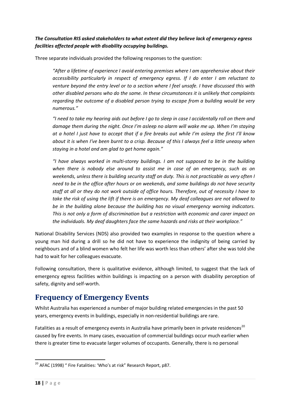*The Consultation RIS asked stakeholders to what extent did they believe lack of emergency egress facilities affected people with disability occupying buildings.*

Three separate individuals provided the following responses to the question:

*"After a lifetime of experience I avoid entering premises where I am apprehensive about their accessibility particularly in respect of emergency egress. If I do enter I am reluctant to venture beyond the entry level or to a section where I feel unsafe. I have discussed this with other disabled persons who do the same. In these circumstances it is unlikely that complaints regarding the outcome of a disabled person trying to escape from a building would be very numerous."*

*"I need to take my hearing aids out before I go to sleep in case I accidentally roll on them and damage them during the night. Once I'm asleep no alarm will wake me up. When I'm staying at a hotel I just have to accept that if a fire breaks out while I'm asleep the first I'll know about it is when I've been burnt to a crisp. Because of this I always feel a little uneasy when staying in a hotel and am glad to get home again."*

*"I have always worked in multi-storey buildings. I am not supposed to be in the building when there is nobody else around to assist me in case of an emergency, such as on weekends, unless there is building security staff on duty. This is not practicable as very often I need to be in the office after hours or on weekends, and some buildings do not have security staff at all or they do not work outside of office hours. Therefore, out of necessity I have to take the risk of using the lift if there is an emergency. My deaf colleagues are not allowed to be in the building alone because the building has no visual emergency warning indicators. This is not only a form of discrimination but a restriction with economic and carer impact on the individuals. My deaf daughters face the same hazards and risks at their workplace."*

National Disability Services (NDS) also provided two examples in response to the question where a young man hid during a drill so he did not have to experience the indignity of being carried by neighbours and of a blind women who felt her life was worth less than others' after she was told she had to wait for her colleagues evacuate.

Following consultation, there is qualitative evidence, although limited, to suggest that the lack of emergency egress facilities within buildings is impacting on a person with disability perception of safety, dignity and self-worth.

### <span id="page-17-0"></span>**Frequency of Emergency Events**

Whilst Australia has experienced a number of major building related emergencies in the past 50 years, emergency events in buildings, especially in non-residential buildings are rare.

Fatalities as a result of emergency events in Australia have primarily been in private residences<sup>[20](#page-17-1)</sup> caused by fire events. In many cases, evacuation of commercial buildings occur much earlier when there is greater time to evacuate larger volumes of occupants. Generally, there is no personal

<span id="page-17-1"></span> $20$  AFAC (1998) " Fire Fatalities: 'Who's at risk" Research Report, p87. 1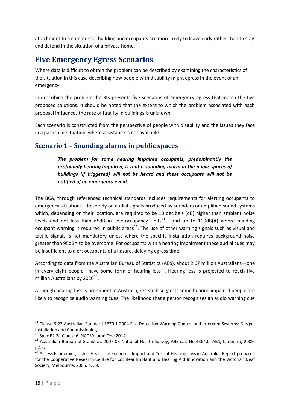attachment to a commercial building and occupants are more likely to leave early rather than to stay and defend in the situation of a private home.

## <span id="page-18-0"></span>**Five Emergency Egress Scenarios**

Where data is difficult to obtain the problem can be described by examining the characteristics of the situation in this case describing how people with disability might egress in the event of an emergency.

In describing the problem the RIS presents five scenarios of emergency egress that match the five proposed solutions. It should be noted that the extent to which the problem associated with each proposal influences the rate of fatality in buildings is unknown.

Each scenario is constructed from the perspective of people with disability and the issues they face in a particular situation, where assistance is not avaliable.

### <span id="page-18-1"></span>**Scenario 1 – Sounding alarms in public spaces**

*The problem for some hearing impaired occupants, predominantly the profoundly hearing impaired, is that a sounding alarm in the public spaces of buildings (if triggered) will not be heard and these occupants will not be notified of an emergency event.*

The BCA, through referenced technical standards includes requirements for alerting occupants to emergency situations. These rely on audial signals produced by sounders or amplified sound systems which, depending on their location, are required to be 10 decibels (dB) higher than ambient noise levels and not less than 65dB in sole-occupancy units<sup>[21](#page-18-2)</sup>, and up to 100dB(A) where building occupant warning is required in public areas<sup>[22](#page-18-3)</sup>. The use of other warning signals such as visual and tactile signals is not mandatory unless where the specific installation requires background noise greater than 95dBA to be overcome. For occupants with a hearing impairment these audial cues may be insufficient to alert occupants of a hazard, delaying egress time.

According to data from the Australian Bureau of Statistics (ABS), about 2.67 million Australians—one in every eight people—have some form of hearing loss<sup>23</sup>. Hearing loss is projected to reach five million Australians by  $2020^{24}$  $2020^{24}$  $2020^{24}$ .

Although hearing loss is prominent in Australia, research suggests some hearing impaired people are likely to recognise audio warning cues. The likelihood that a person recognises an audio warning cue

<sup>&</sup>lt;sup>21</sup> Clause 3.22 Australian Standard 1670.1 2004 Fire Detection Warning Control and Intercom Systems: Design, 1

<span id="page-18-2"></span>Installation and Commissioning.<br><sup>22</sup> Spec E2.2a Clause 6, NCC Volume One 2014

<span id="page-18-4"></span><span id="page-18-3"></span><sup>23</sup> Australian Bureau of Statistics, 2007-08 National Health Survey, ABS cat. No.4364.0, ABS, Canberra, 2009, p.15.

<span id="page-18-5"></span><sup>&</sup>lt;sup>24</sup> Access Economics, Listen Hear! The Economic Impact and Cost of Hearing Loss in Australia, Report prepared for the Cooperative Research Centre for Cochlear Implant and Hearing Aid Innovation and the Victorian Deaf Society, Melbourne, 2006, p. 39.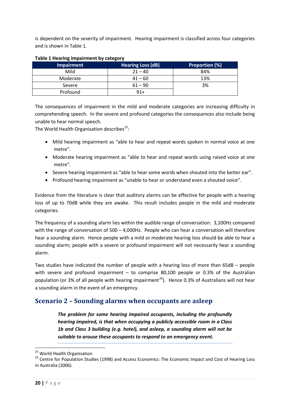is dependent on the severity of impairment. Hearing impairment is classified across four categories and is shown in Table 1.

|                   | --                       |                |
|-------------------|--------------------------|----------------|
| <b>Impairment</b> | <b>Hearing Loss (dB)</b> | Proportion (%) |
| Mild              | $21 - 40$                | 84%            |
| Moderate          | $41 - 60$                | 13%            |
| Severe            | $61 - 90$                | 3%             |
| Profound          | $91+$                    |                |

#### **Table 1 Hearing impairment by category**

The consequences of impairment in the mild and moderate categories are increasing difficulty in comprehending speech. In the severe and profound categories the consequences also include being unable to hear normal speech.

The World Health Organisation describes<sup>[25](#page-19-1)</sup>:

- Mild hearing impairment as "able to hear and repeat words spoken in normal voice at one metre".
- Moderate hearing impairment as "able to hear and repeat words using raised voice at one metre".
- Severe hearing impairment as "able to hear some words when shouted into the better ear".
- Profound hearing impairment as "unable to hear or understand even a shouted voice".

Evidence from the literature is clear that auditory alarms can be effective for people with a hearing loss of up to 70dB while they are awake. This result includes people in the mild and moderate categories.

The frequency of a sounding alarm lies within the audible range of conversation: 3,100Hz compared with the range of conversation of 500 – 4,000Hz. People who can hear a conversation will therefore hear a sounding alarm. Hence people with a mild or moderate hearing loss should be able to hear a sounding alarm; people with a severe or profound impairment will not necessarily hear a sounding alarm.

Two studies have indicated the number of people with a hearing loss of more than 65dB – people with severe and profound impairment – to comprise 80,100 people or 0.3% of the Australian population (or 3% of all people with hearing impairment<sup>[26](#page-19-2)</sup>). Hence 0.3% of Australians will not hear a sounding alarm in the event of an emergency.

#### <span id="page-19-0"></span>**Scenario 2 – Sounding alarms when occupants are asleep**

*The problem for some hearing impaired occupants, including the profoundly hearing impaired, is that when occupying a publicly accessible room in a Class 1b and Class 3 building (e.g. hotel), and asleep, a sounding alarm will not be suitable to arouse these occupants to respond to an emergency event.* 

<span id="page-19-2"></span><span id="page-19-1"></span><sup>&</sup>lt;sup>25</sup> World Health Organisation<br><sup>26</sup> Centre for Population Studies (1998) and Access Economics: The Economic Impact and Cost of Hearing Loss in Australia (2006).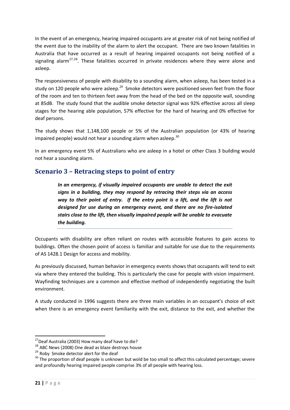In the event of an emergency, hearing impaired occupants are at greater risk of not being notified of the event due to the inability of the alarm to alert the occupant. There are two known fatalities in Australia that have occurred as a result of hearing impaired occupants not being notified of a signaling alarm<sup>[27,](#page-20-1)[28](#page-20-2)</sup>. These fatalities occurred in private residences where they were alone and asleep.

The responsiveness of people with disability to a sounding alarm, when asleep, has been tested in a study on 120 people who were asleep.<sup>[29](#page-20-3)</sup> Smoke detectors were positioned seven feet from the floor of the room and ten to thirteen feet away from the head of the bed on the opposite wall, sounding at 85dB. The study found that the audible smoke detector signal was 92% effective across all sleep stages for the hearing able population, 57% effective for the hard of hearing and 0% effective for deaf persons.

The study shows that 1,148,100 people or 5% of the Australian population (or 43% of hearing impaired people) would not hear a sounding alarm when asleep. $30$ 

In an emergency event 5% of Australians who are asleep in a hotel or other Class 3 building would not hear a sounding alarm.

### <span id="page-20-0"></span>**Scenario 3 – Retracing steps to point of entry**

*In an emergency, if visually impaired occupants are unable to detect the exit signs in a building, they may respond by retracing their steps via an access way to their point of entry. If the entry point is a lift, and the lift is not designed for use during an emergency event, and there are no fire-isolated stairs close to the lift, then visually impaired people will be unable to evacuate the building.*

Occupants with disability are often reliant on routes with accessible features to gain access to buildings. Often the chosen point of access is familiar and suitable for use due to the requirements of AS 1428.1 Design for access and mobility.

As previously discussed, human behavior in emergency events shows that occupants will tend to exit via where they entered the building. This is particularly the case for people with vision impairment. Wayfinding techniques are a common and effective method of independently negotiating the built environment.

A study conducted in 1996 suggests there are three main variables in an occupant's choice of exit when there is an emergency event familiarity with the exit, distance to the exit, and whether the

<sup>&</sup>lt;sup>27</sup> Deaf Australia (2003) How many deaf have to die?

<span id="page-20-4"></span><span id="page-20-3"></span>

<span id="page-20-2"></span><span id="page-20-1"></span><sup>28</sup> ABC News (2008) One dead as blaze destroys house<br>
29 Roby Smoke detector alert for the deaf<br>
30 The proportion of deaf people is unknown but wold be too small to affect this calculated percentage; severe and profoundly hearing impaired people comprise 3% of all people with hearing loss.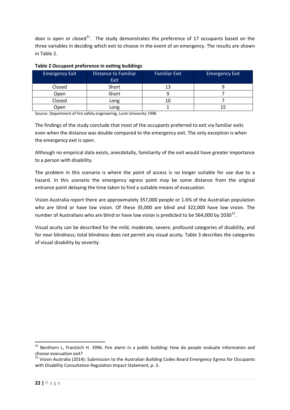door is open or closed<sup>[31](#page-21-0)</sup>. The study demonstrates the preference of 17 occupants based on the three variables in deciding which exit to choose in the event of an emergency. The results are shown in Table 2.

| <b>Emergency Exit</b> | Distance to Familiar<br><b>Exit</b> | <b>Familiar Exit</b> | <b>Emergency Exit</b> |
|-----------------------|-------------------------------------|----------------------|-----------------------|
| Closed                | Short                               | 13                   |                       |
| Open                  | Short                               |                      |                       |
| Closed                | Long                                | 10                   |                       |
| Open                  | Long                                |                      |                       |

#### **Table 2 Occupant preference in exiting buildings**

Source: Department of fire safety engineering, Lund University 1996

The findings of the study conclude that most of the occupants preferred to exit via familiar exits even when the distance was double compared to the emergency exit. The only exception is when the emergency exit is open.

Although no empirical data exists, anecdotally, familiarity of the exit would have greater importance to a person with disability.

The problem in this scenario is where the point of access is no longer suitable for use due to a hazard. In this scenario the emergency egress point may be some distance from the original entrance point delaying the time taken to find a suitable means of evacuation.

Vision Australia report there are approximately 357,000 people or 1.6% of the Australian population who are blind or have low vision. Of these 35,000 are blind and 322,000 have low vision. The number of Australians who are blind or have low vision is predicted to be 564,000 by 2030<sup>[32](#page-21-1)</sup>.

Visual acuity can be described for the mild, moderate, severe, profound categories of disability, and for near blindness; total blindness does not permit any visual acuity. Table 3 describes the categories of visual disability by severity.

<span id="page-21-0"></span><sup>&</sup>lt;sup>31</sup> Benthorn L, Frantzich H. 1996. Fire alarm in a public building: How do people evaluate information and choose evacuation exit?

<span id="page-21-1"></span><sup>&</sup>lt;sup>32</sup> Vision Australia (2014): Submission to the Australian Building Codes Board Emergency Egress for Occupants with Disability Consultation Regulation Impact Statement, p. 3.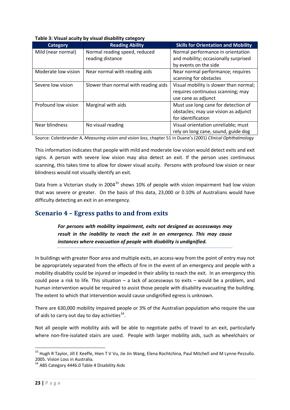| Table 3: Visual acuity by visual disability category |  |  |  |  |  |
|------------------------------------------------------|--|--|--|--|--|
|------------------------------------------------------|--|--|--|--|--|

| <b>Category</b>     | <b>Reading Ability</b>               | <b>Skills for Orientation and Mobility</b> |
|---------------------|--------------------------------------|--------------------------------------------|
| Mild (near normal)  | Normal reading speed, reduced        | Normal performance in orientation          |
|                     | reading distance                     | and mobility; occasionally surprised       |
|                     |                                      | by events on the side                      |
| Moderate low vision | Near normal with reading aids        | Near normal performance; requires          |
|                     |                                      | scanning for obstacles                     |
| Severe low vision   | Slower than normal with reading aids | Visual mobility is slower than normal;     |
|                     |                                      | requires continuous scanning; may          |
|                     |                                      | use cane as adjunct                        |
| Profound low vision | Marginal with aids                   | Must use long cane for detection of        |
|                     |                                      | obstacles; may use vision as adjunct       |
|                     |                                      | for identification                         |
| Near blindness      | No visual reading                    | Visual orientation unreliable; must        |
|                     |                                      | rely on long cane, sound, guide dog        |

Source: Colenbrander A, *Measuring vision and vision loss*, chapter 51 in Duane's (2001) *Clinical Ophthalmology*

This information indicates that people with mild and moderate low vision would detect exits and exit signs. A person with severe low vision may also detect an exit. If the person uses continuous scanning, this takes time to allow for slower visual acuity. Persons with profound low vision or near blindness would not visually identify an exit.

Data from a Victorian study in 2004<sup>[33](#page-22-1)</sup> shows 10% of people with vision impairment had low vision that was severe or greater. On the basis of this data, 23,000 or 0.10% of Australians would have difficulty detecting an exit in an emergency.

### <span id="page-22-0"></span>**Scenario 4 – Egress paths to and from exits**

*For persons with mobility impairment, exits not designed as accessways may result in the inability to reach the exit in an emergency. This may cause instances where evacuation of people with disability is undignified.* 

In buildings with greater floor area and multiple exits, an access-way from the point of entry may not be appropriately separated from the effects of fire in the event of an emergency and people with a mobility disability could be injured or impeded in their ability to reach the exit. In an emergency this could pose a risk to life. This situation – a lack of accessways to exits – would be a problem, and human intervention would be required to assist those people with disability evacuating the building. The extent to which that intervention would cause undignified egress is unknown.

There are 630,000 mobility impaired people or 3% of the Australian population who require the use of aids to carry out day to day activities  $34$ .

Not all people with mobility aids will be able to negotiate paths of travel to an exit, particularly where non-fire-isolated stairs are used. People with larger mobility aids, such as wheelchairs or

<span id="page-22-1"></span><sup>&</sup>lt;sup>33</sup> Hugh R Taylor, Jill E Keeffe, Hien T V Vu, Jie Jin Wang, Elena Rochtchina, Paul Mitchell and M Lynne Pezzullo. 2005. Vision Loss in Australia.

<span id="page-22-2"></span><sup>&</sup>lt;sup>34</sup> ABS Category 4446.0 Table 4 Disability Aids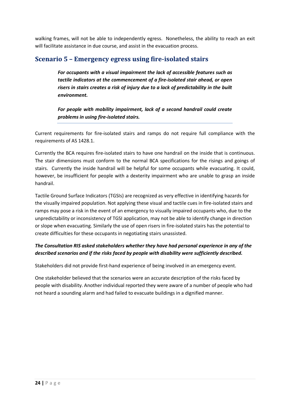walking frames, will not be able to independently egress. Nonetheless, the ability to reach an exit will facilitate assistance in due course, and assist in the evacuation process.

#### <span id="page-23-0"></span>**Scenario 5 – Emergency egress using fire-isolated stairs**

*For occupants with a visual impairment the lack of accessible features such as tactile indicators at the commencement of a fire-isolated stair ahead, or open risers in stairs creates a risk of injury due to a lack of predictability in the built environment.*

*For people with mobility impairment, lack of a second handrail could create problems in using fire-isolated stairs.* 

Current requirements for fire-isolated stairs and ramps do not require full compliance with the requirements of AS 1428.1.

Currently the BCA requires fire-isolated stairs to have one handrail on the inside that is continuous. The stair dimensions must conform to the normal BCA specifications for the risings and goings of stairs. Currently the inside handrail will be helpful for some occupants while evacuating. It could, however, be insufficient for people with a dexterity impairment who are unable to grasp an inside handrail.

Tactile Ground Surface Indicators (TGSIs) are recognized as very effective in identifying hazards for the visually impaired population. Not applying these visual and tactile cues in fire-isolated stairs and ramps may pose a risk in the event of an emergency to visually impaired occupants who, due to the unpredictability or inconsistency of TGSI application, may not be able to identify change in direction or slope when evacuating. Similarly the use of open risers in fire-isolated stairs has the potential to create difficulties for these occupants in negotiating stairs unassisted.

#### *The Consultation RIS asked stakeholders whether they have had personal experience in any of the described scenarios and if the risks faced by people with disability were sufficiently described.*

Stakeholders did not provide first-hand experience of being involved in an emergency event.

One stakeholder believed that the scenarios were an accurate description of the risks faced by people with disability. Another individual reported they were aware of a number of people who had not heard a sounding alarm and had failed to evacuate buildings in a dignified manner.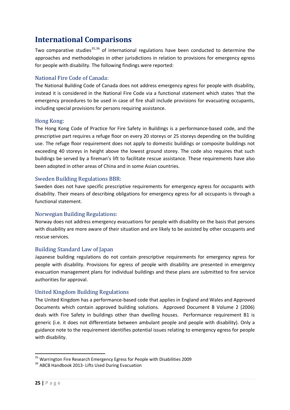## <span id="page-24-0"></span>**International Comparisons**

Two comparative studies $35,36$  $35,36$  $35,36$  of international regulations have been conducted to determine the approaches and methodologies in other jurisdictions in relation to provisions for emergency egress for people with disability. The following findings were reported:

#### National Fire Code of Canada:

The National Building Code of Canada does not address emergency egress for people with disability, instead it is considered in the National Fire Code via a functional statement which states 'that the emergency procedures to be used in case of fire shall include provisions for evacuating occupants, including special provisions for persons requiring assistance.

#### Hong Kong:

The Hong Kong Code of Practice for Fire Safety in Buildings is a performance-based code, and the prescriptive part requires a refuge floor on every 20 storeys or 25 storeys depending on the building use. The refuge floor requirement does not apply to domestic buildings or composite buildings not exceeding 40 storeys in height above the lowest ground storey. The code also requires that such buildings be served by a fireman's lift to facilitate rescue assistance. These requirements have also been adopted in other areas of China and in some Asian countries.

#### Sweden Building Regulations BBR:

Sweden does not have specific prescriptive requirements for emergency egress for occupants with disability. Their means of describing obligations for emergency egress for all occupants is through a functional statement.

#### Norwegian Building Regulations:

Norway does not address emergency evacuations for people with disability on the basis that persons with disability are more aware of their situation and are likely to be assisted by other occupants and rescue services.

#### Building Standard Law of Japan

Japanese building regulations do not contain prescriptive requirements for emergency egress for people with disability. Provisions for egress of people with disability are presented in emergency evacuation management plans for individual buildings and these plans are submitted to fire service authorities for approval.

#### United Kingdom Building Regulations

The United Kingdom has a performance-based code that applies in England and Wales and Approved Documents which contain approved building solutions. Approved Document B Volume 2 (2006) deals with Fire Safety in buildings other than dwelling houses. Performance requirement B1 is generic (i.e. it does not differentiate between ambulant people and people with disability). Only a guidance note to the requirement identifies potential issues relating to emergency egress for people with disability.

<span id="page-24-1"></span><sup>&</sup>lt;sup>35</sup> Warrington Fire Research Emergency Egress for People with Disabilities 2009<br><sup>36</sup> ABCB Handbook 2013- Lifts Used During Evacuation

<span id="page-24-2"></span>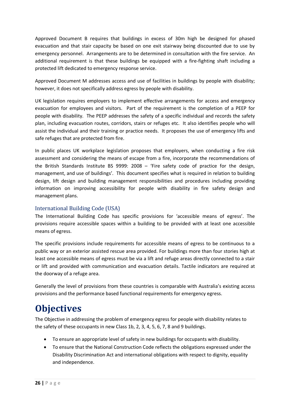Approved Document B requires that buildings in excess of 30m high be designed for phased evacuation and that stair capacity be based on one exit stairway being discounted due to use by emergency personnel. Arrangements are to be determined in consultation with the fire service. An additional requirement is that these buildings be equipped with a fire-fighting shaft including a protected lift dedicated to emergency response service.

Approved Document M addresses access and use of facilities in buildings by people with disability; however, it does not specifically address egress by people with disability.

UK legislation requires employers to implement effective arrangements for access and emergency evacuation for employees and visitors. Part of the requirement is the completion of a PEEP for people with disability. The PEEP addresses the safety of a specific individual and records the safety plan, including evacuation routes, corridors, stairs or refuges etc. It also identifies people who will assist the individual and their training or practice needs. It proposes the use of emergency lifts and safe refuges that are protected from fire.

In public places UK workplace legislation proposes that employers, when conducting a fire risk assessment and considering the means of escape from a fire, incorporate the recommendations of the British Standards Institute BS 9999: 2008 – 'Fire safety code of practice for the design, management, and use of buildings'. This document specifies what is required in relation to building design, lift design and building management responsibilities and procedures including providing information on improving accessibility for people with disability in fire safety design and management plans.

#### International Building Code (USA)

The International Building Code has specific provisions for 'accessible means of egress'. The provisions require accessible spaces within a building to be provided with at least one accessible means of egress.

The specific provisions include requirements for accessible means of egress to be continuous to a public way or an exterior assisted rescue area provided. For buildings more than four stories high at least one accessible means of egress must be via a lift and refuge areas directly connected to a stair or lift and provided with communication and evacuation details. Tactile indicators are required at the doorway of a refuge area.

Generally the level of provisions from these countries is comparable with Australia's existing access provisions and the performance based functional requirements for emergency egress.

# **Objectives**

The Objective in addressing the problem of emergency egress for people with disability relates to the safety of these occupants in new Class 1b, 2, 3, 4, 5, 6, 7, 8 and 9 buildings.

- To ensure an appropriate level of safety in new buildings for occupants with disability.
- To ensure that the National Construction Code reflects the obligations expressed under the Disability Discrimination Act and international obligations with respect to dignity, equality and independence.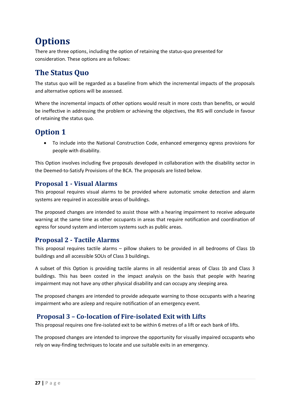# **Options**

There are three options, including the option of retaining the status-quo presented for consideration. These options are as follows:

## <span id="page-26-0"></span>**The Status Quo**

The status quo will be regarded as a baseline from which the incremental impacts of the proposals and alternative options will be assessed.

Where the incremental impacts of other options would result in more costs than benefits, or would be ineffective in addressing the problem or achieving the objectives, the RIS will conclude in favour of retaining the status quo.

## <span id="page-26-1"></span>**Option 1**

• To include into the National Construction Code, enhanced emergency egress provisions for people with disability.

This Option involves including five proposals developed in collaboration with the disability sector in the Deemed-to-Satisfy Provisions of the BCA. The proposals are listed below.

### <span id="page-26-2"></span>**Proposal 1 - Visual Alarms**

This proposal requires visual alarms to be provided where automatic smoke detection and alarm systems are required in accessible areas of buildings.

The proposed changes are intended to assist those with a hearing impairment to receive adequate warning at the same time as other occupants in areas that require notification and coordination of egress for sound system and intercom systems such as public areas.

#### <span id="page-26-3"></span>**Proposal 2 - Tactile Alarms**

This proposal requires tactile alarms – pillow shakers to be provided in all bedrooms of Class 1b buildings and all accessible SOUs of Class 3 buildings.

A subset of this Option is providing tactile alarms in all residential areas of Class 1b and Class 3 buildings. This has been costed in the impact analysis on the basis that people with hearing impairment may not have any other physical disability and can occupy any sleeping area.

The proposed changes are intended to provide adequate warning to those occupants with a hearing impairment who are asleep and require notification of an emergency event.

### <span id="page-26-4"></span>**Proposal 3 – Co-location of Fire-isolated Exit with Lifts**

This proposal requires one fire-isolated exit to be within 6 metres of a lift or each bank of lifts.

The proposed changes are intended to improve the opportunity for visually impaired occupants who rely on way-finding techniques to locate and use suitable exits in an emergency.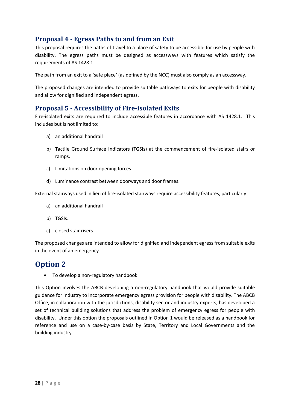### <span id="page-27-0"></span>**Proposal 4 - Egress Paths to and from an Exit**

This proposal requires the paths of travel to a place of safety to be accessible for use by people with disability. The egress paths must be designed as accessways with features which satisfy the requirements of AS 1428.1.

The path from an exit to a 'safe place' (as defined by the NCC) must also comply as an accessway.

The proposed changes are intended to provide suitable pathways to exits for people with disability and allow for dignified and independent egress.

#### <span id="page-27-1"></span>**Proposal 5 - Accessibility of Fire-isolated Exits**

Fire-isolated exits are required to include accessible features in accordance with AS 1428.1. This includes but is not limited to:

- a) an additional handrail
- b) Tactile Ground Surface Indicators (TGSIs) at the commencement of fire-isolated stairs or ramps.
- c) Limitations on door opening forces
- d) Luminance contrast between doorways and door frames.

External stairways used in lieu of fire-isolated stairways require accessibility features, particularly:

- a) an additional handrail
- b) TGSIs.
- c) closed stair risers

The proposed changes are intended to allow for dignified and independent egress from suitable exits in the event of an emergency.

### <span id="page-27-2"></span>**Option 2**

• To develop a non-regulatory handbook

This Option involves the ABCB developing a non-regulatory handbook that would provide suitable guidance for industry to incorporate emergency egress provision for people with disability. The ABCB Office, in collaboration with the jurisdictions, disability sector and industry experts, has developed a set of technical building solutions that address the problem of emergency egress for people with disability. Under this option the proposals outlined in Option 1 would be released as a handbook for reference and use on a case-by-case basis by State, Territory and Local Governments and the building industry.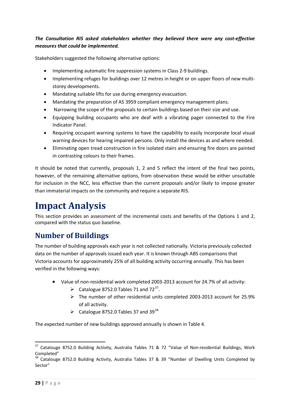#### *The Consultation RIS asked stakeholders whether they believed there were any cost-effective measures that could be implemented.*

Stakeholders suggested the following alternative options:

- Implementing automatic fire suppression systems in Class 2-9 buildings.
- Implementing refuges for buildings over 12 metres in height or on upper floors of new multistorey developments.
- Mandating suitable lifts for use during emergency evacuation.
- Mandating the preparation of AS 3959 compliant emergency management plans.
- Narrowing the scope of the proposals to certain buildings based on their size and use.
- Equipping building occupants who are deaf with a vibrating pager connected to the Fire Indicator Panel.
- Requiring occupant warning systems to have the capability to easily incorporate local visual warning devices for hearing impaired persons. Only install the devices as and where needed.
- Eliminating open tread construction in fire isolated stairs and ensuring fire doors are painted in contrasting colours to their frames.

It should be noted that currently, proposals 1, 2 and 5 reflect the intent of the final two points, however, of the remaining alternative options, from observation these would be either unsuitable for inclusion in the NCC, less effective than the current proposals and/or likely to impose greater than immaterial impacts on the community and require a separate RIS.

# <span id="page-28-0"></span>**Impact Analysis**

This section provides an assessment of the incremental costs and benefits of the Options 1 and 2, compared with the status quo baseline.

# <span id="page-28-1"></span>**Number of Buildings**

The number of building approvals each year is not collected nationally. Victoria previously collected data on the number of approvals issued each year. It is known through ABS comparisons that Victoria accounts for approximately 25% of all building activity occurring annually. This has been verified in the following ways:

- Value of non-residential work completed 2003-2013 account for 24.7% of all activity:
	- $\triangleright$  Catalogue 8752.0 Tables 71 and 72<sup>[37](#page-28-2)</sup>.
	- $\triangleright$  The number of other residential units completed 2003-2013 account for 25.9% of all activity.
	- $\blacktriangleright$  Catalogue 8752.0 Tables 37 and 39<sup>[38](#page-28-3)</sup>

The expected number of new buildings approved annually is shown in Table 4.

<span id="page-28-2"></span><sup>&</sup>lt;sup>37</sup> Catalouge 8752.0 Building Activity, Australia Tables 71 & 72 "Value of Non-residential Buildings, Work Completed"

<span id="page-28-3"></span><sup>&</sup>lt;sup>38</sup> Catalouge 8752.0 Building Activity, Australia Tables 37 & 39 "Number of Dwelling Units Completed by Sector"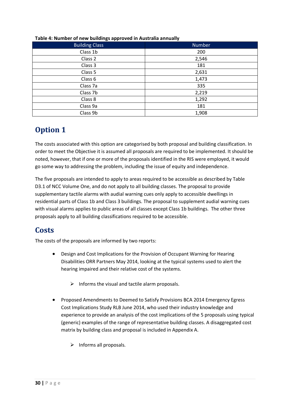| .<br><b>Building Class</b> | <b>Number</b> |
|----------------------------|---------------|
| Class 1b                   | 200           |
| Class 2                    | 2,546         |
| Class 3                    | 181           |
| Class 5                    | 2,631         |
| Class 6                    | 1,473         |
| Class <sub>7a</sub>        | 335           |
| Class 7b                   | 2,219         |
| Class 8                    | 1,292         |
| Class 9a                   | 181           |
| Class 9b                   | 1,908         |

#### **Table 4: Number of new buildings approved in Australia annually**

## **Option 1**

The costs associated with this option are categorised by both proposal and building classification. In order to meet the Objective it is assumed all proposals are required to be implemented. It should be noted, however, that if one or more of the proposals identified in the RIS were employed, it would go some way to addressing the problem, including the issue of equity and independence.

The five proposals are intended to apply to areas required to be accessible as described by Table D3.1 of NCC Volume One, and do not apply to all building classes. The proposal to provide supplementary tactile alarms with audial warning cues only apply to accessible dwellings in residential parts of Class 1b and Class 3 buildings. The proposal to supplement audial warning cues with visual alarms applies to public areas of all classes except Class 1b buildings. The other three proposals apply to all building classifications required to be accessible.

# <span id="page-29-0"></span>**Costs**

The costs of the proposals are informed by two reports:

- Design and Cost Implications for the Provision of Occupant Warning for Hearing Disabilities ORR Partners May 2014, looking at the typical systems used to alert the hearing impaired and their relative cost of the systems.
	- $\triangleright$  Informs the visual and tactile alarm proposals.
- Proposed Amendments to Deemed to Satisfy Provisions BCA 2014 Emergency Egress Cost Implications Study RLB June 2014, who used their industry knowledge and experience to provide an analysis of the cost implications of the 5 proposals using typical (generic) examples of the range of representative building classes. A disaggregated cost matrix by building class and proposal is included in Appendix A.
	- $\triangleright$  Informs all proposals.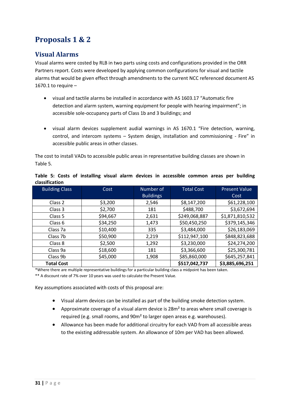# <span id="page-30-0"></span>**Proposals 1 & 2**

### <span id="page-30-1"></span>**Visual Alarms**

Visual alarms were costed by RLB in two parts using costs and configurations provided in the ORR Partners report. Costs were developed by applying common configurations for visual and tactile alarms that would be given effect through amendments to the current NCC referenced document AS 1670.1 to require  $-$ 

- visual and tactile alarms be installed in accordance with AS 1603.17 "Automatic fire detection and alarm system, warning equipment for people with hearing impairment"; in accessible sole-occupancy parts of Class 1b and 3 buildings; and
- visual alarm devices supplement audial warnings in AS 1670.1 "Fire detection, warning, control, and intercom systems – System design, installation and commissioning - Fire" in accessible public areas in other classes.

The cost to install VADs to accessible public areas in representative building classes are shown in Table 5.

| <b>Building Class</b> | Cost     | Number of        | <b>Total Cost</b> | <b>Present Value</b> |  |  |
|-----------------------|----------|------------------|-------------------|----------------------|--|--|
|                       |          | <b>Buildings</b> |                   | Cost                 |  |  |
| Class 2               | \$3,200  | 2,546            | \$8,147,200       | \$61,228,100         |  |  |
| Class 3               | \$2,700  | 181              | \$488,700         | \$3,672,694          |  |  |
| Class 5               | \$94,667 | 2,631            | \$249,068,887     | \$1,871,810,532      |  |  |
| Class 6               | \$34,250 | 1,473            | \$50,450,250      | \$379,145,346        |  |  |
| Class 7a              | \$10,400 | 335              | \$3,484,000       | \$26,183,069         |  |  |
| Class 7b              | \$50,900 | 2,219            | \$112,947,100     | \$848,823,688        |  |  |
| Class 8               | \$2,500  | 1,292            | \$3,230,000       | \$24,274,200         |  |  |
| Class 9a              | \$18,600 | 181              | \$3,366,600       | \$25,300,781         |  |  |
| Class 9b              | \$45,000 | 1,908            | \$85,860,000      | \$645,257,841        |  |  |
| <b>Total Cost</b>     |          |                  | \$517,042,737     | \$3,885,696,251      |  |  |

|                |  |  |  |  | Table 5: Costs of installing visual alarm devices in accessible common areas per building |  |  |
|----------------|--|--|--|--|-------------------------------------------------------------------------------------------|--|--|
| classification |  |  |  |  |                                                                                           |  |  |

\*Where there are multiple representative buildingsfor a particular building class a midpoint has been taken.

\*\* A discount rate of 7% over 10 years was used to calculate the Present Value.

Key assumptions associated with costs of this proposal are:

- Visual alarm devices can be installed as part of the building smoke detection system.
- Approximate coverage of a visual alarm device is 28m² to areas where small coverage is required (e.g. small rooms, and 90m² to larger open areas e.g. warehouses).
- Allowance has been made for additional circuitry for each VAD from all accessible areas to the existing addressable system. An allowance of 10m per VAD has been allowed.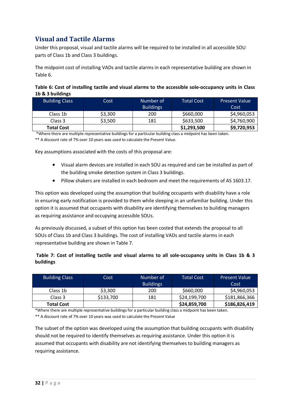### <span id="page-31-0"></span>**Visual and Tactile Alarms**

Under this proposal, visual and tactile alarms will be required to be installed in all accessible SOU parts of Class 1b and Class 3 buildings.

The midpoint cost of installing VADs and tactile alarms in each representative building are shown in Table 6.

#### **Table 6: Cost of installing tactile and visual alarms to the accessible sole-occupancy units in Class 1b & 3 buildings**

| <b>Building Class</b> | Cost    | Number of        | <b>Total Cost</b> | <b>Present Value</b> |
|-----------------------|---------|------------------|-------------------|----------------------|
|                       |         | <b>Buildings</b> |                   | Cost                 |
| Class 1b              | \$3,300 | 200              | \$660,000         | \$4,960,053          |
| Class 3               | \$3,500 | 181              | \$633,500         | \$4,760,900          |
| <b>Total Cost</b>     |         |                  | \$1,293,500       | \$9,720,953          |

\*Where there are multiple representative buildings for a particular building class a midpoint has been taken.

\*\* A discount rate of 7% over 10 years was used to calculate the Present Value.

Key assumptions associated with the costs of this proposal are:

- Visual alarm devices are installed in each SOU as required and can be installed as part of the building smoke detection system in Class 3 buildings.
- Pillow shakers are installed in each bedroom and meet the requirements of AS 1603.17.

This option was developed using the assumption that building occupants with disability have a role in ensuring early notification is provided to them while sleeping in an unfamiliar building. Under this option it is assumed that occupants with disability are identifying themselves to building managers as requiring assistance and occupying accessible SOUs.

As previously discussed, a subset of this option has been costed that extends the proposal to all SOUs of Class 1b and Class 3 buildings. The cost of installing VADs and tactile alarms in each representative building are shown in Table 7.

#### **Table 7: Cost of installing tactile and visual alarms to all sole-occupancy units in Class 1b & 3 buildings**

| <b>Building Class</b> | Cost      | Number of<br><b>Buildings</b> | <b>Total Cost</b> | Present Value'<br>Cost |
|-----------------------|-----------|-------------------------------|-------------------|------------------------|
| Class 1b              | \$3,300   | 200                           | \$660,000         | \$4,960,053            |
| Class 3               | \$133,700 | 181                           | \$24,199,700      | \$181,866,366          |
| <b>Total Cost</b>     |           |                               | \$24,859,700      | \$186,826,419          |

\*Where there are multiple representative buildings for a particular building class a midpoint has been taken.

\*\* A discount rate of 7% over 10 years was used to calculate the Present Value

The subset of the option was developed using the assumption that building occupants with disability should not be required to identify themselves as requiring assistance. Under this option it is assumed that occupants with disability are not identifying themselves to building managers as requiring assistance.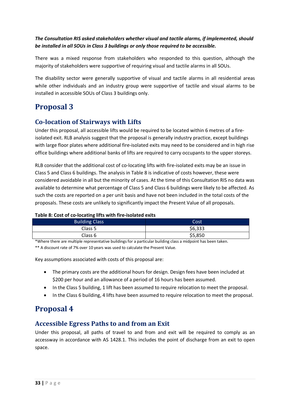#### *The Consultation RIS asked stakeholders whether visual and tactile alarms, if implemented, should be installed in all SOUs in Class 3 buildings or only those required to be accessible.*

There was a mixed response from stakeholders who responded to this question, although the majority of stakeholders were supportive of requiring visual and tactile alarms in all SOUs.

The disability sector were generally supportive of visual and tactile alarms in all residential areas while other individuals and an industry group were supportive of tactile and visual alarms to be installed in accessible SOUs of Class 3 buildings only.

## <span id="page-32-0"></span>**Proposal 3**

### <span id="page-32-1"></span>**Co-location of Stairways with Lifts**

Under this proposal, all accessible lifts would be required to be located within 6 metres of a fireisolated exit. RLB analysis suggest that the proposal is generally industry practice, except buildings with large floor plates where additional fire-isolated exits may need to be considered and in high rise office buildings where additional banks of lifts are required to carry occupants to the upper storeys.

RLB consider that the additional cost of co-locating lifts with fire-isolated exits may be an issue in Class 5 and Class 6 buildings. The analysis in Table 8 is indicative of costs however, these were considered avoidable in all but the minority of cases. At the time of this Consultation RIS no data was available to determine what percentage of Class 5 and Class 6 buildings were likely to be affected. As such the costs are reported on a per unit basis and have not been included in the total costs of the proposals. These costs are unlikely to significantly impact the Present Value of all proposals.

#### **Table 8: Cost of co-locating lifts with fire-isolated exits**

| <b>Building Class</b> | Cost    |
|-----------------------|---------|
| Class 5               | \$6,333 |
| Class 6               | \$5,850 |

\*Where there are multiple representative buildings for a particular building class a midpoint has been taken.

\*\* A discount rate of 7% over 10 years was used to calculate the Present Value.

Key assumptions associated with costs of this proposal are:

- The primary costs are the additional hours for design. Design fees have been included at \$200 per hour and an allowance of a period of 16 hours has been assumed.
- In the Class 5 building, 1 lift has been assumed to require relocation to meet the proposal.
- In the Class 6 building, 4 lifts have been assumed to require relocation to meet the proposal.

# <span id="page-32-2"></span>**Proposal 4**

### <span id="page-32-3"></span>**Accessible Egress Paths to and from an Exit**

Under this proposal, all paths of travel to and from and exit will be required to comply as an accessway in accordance with AS 1428.1. This includes the point of discharge from an exit to open space.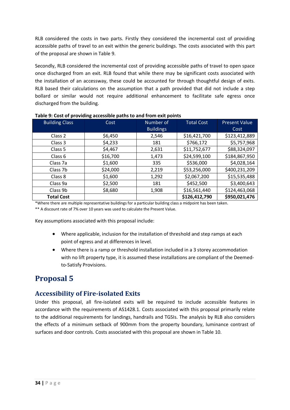RLB considered the costs in two parts. Firstly they considered the incremental cost of providing accessible paths of travel to an exit within the generic buildings. The costs associated with this part of the proposal are shown in Table 9.

Secondly, RLB considered the incremental cost of providing accessible paths of travel to open space once discharged from an exit. RLB found that while there may be significant costs associated with the installation of an accessway, these could be accounted for through thoughtful design of exits. RLB based their calculations on the assumption that a path provided that did not include a step bollard or similar would not require additional enhancement to facilitate safe egress once discharged from the building.

| <b>Building Class</b> | Cost     | Number of        | <b>Total Cost</b> | <b>Present Value</b> |
|-----------------------|----------|------------------|-------------------|----------------------|
|                       |          | <b>Buildings</b> |                   | Cost                 |
| Class 2               | \$6,450  | 2,546            | \$16,421,700      | \$123,412,889        |
| Class 3               | \$4,233  | 181              | \$766,172         | \$5,757,968          |
| Class 5               | \$4,467  | 2,631            | \$11,752,677      | \$88,324,097         |
| Class 6               | \$16,700 | 1,473            | \$24,599,100      | \$184,867,950        |
| Class 7a              | \$1,600  | 335              | \$536,000         | \$4,028,164          |
| Class 7b              | \$24,000 | 2,219            | \$53,256,000      | \$400,231,209        |
| Class 8               | \$1,600  | 1,292            | \$2,067,200       | \$15,535,488         |
| Class 9a              | \$2,500  | 181              | \$452,500         | \$3,400,643          |
| Class 9b              | \$8,680  | 1,908            | \$16,561,440      | \$124,463,068        |
| <b>Total Cost</b>     |          |                  | \$126,412,790     | \$950,021,476        |

**Table 9: Cost of providing accessible paths to and from exit points**

\*Where there are multiple representative buildings for a particular building class a midpoint has been taken. \*\* A discount rate of 7% over 10 years was used to calculate the Present Value.

Key assumptions associated with this proposal include:

- Where applicable, inclusion for the installation of threshold and step ramps at each point of egress and at differences in level.
- Where there is a ramp or threshold installation included in a 3 storey accommodation with no lift property type, it is assumed these installations are compliant of the Deemedto-Satisfy Provisions.

# <span id="page-33-0"></span>**Proposal 5**

### <span id="page-33-1"></span>**Accessibility of Fire-isolated Exits**

Under this proposal, all fire-isolated exits will be required to include accessible features in accordance with the requirements of AS1428.1. Costs associated with this proposal primarily relate to the additional requirements for landings, handrails and TGSIs. The analysis by RLB also considers the effects of a minimum setback of 900mm from the property boundary, luminance contrast of surfaces and door controls. Costs associated with this proposal are shown in Table 10.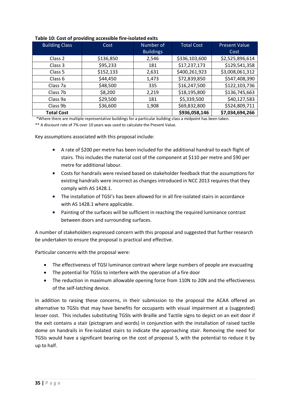| <b>Building Class</b> | Cost      | Number of        | <b>Total Cost</b> | <b>Present Value</b> |
|-----------------------|-----------|------------------|-------------------|----------------------|
|                       |           | <b>Buildings</b> |                   | Cost                 |
| Class 2               | \$136,850 | 2,546            | \$336,103,600     | \$2,525,896,614      |
| Class 3               | \$95,233  | 181              | \$17,237,173      | \$129,541,358        |
| Class 5               | \$152,133 | 2,631            | \$400,261,923     | \$3,008,061,312      |
| Class 6               | \$44,450  | 1,473            | \$72,839,850      | \$547,408,390        |
| Class 7a              | \$48,500  | 335              | \$16,247,500      | \$122,103,736        |
| Class 7b              | \$8,200   | 2,219            | \$18,195,800      | \$136,745,663        |
| Class 9a              | \$29,500  | 181              | \$5,339,500       | \$40,127,583         |
| Class 9b              | \$36,600  | 1,908            | \$69,832,800      | \$524,809,711        |
| <b>Total Cost</b>     |           |                  | \$936,058,146     | \$7,034,694,266      |

#### **Table 10: Cost of providing accessible fire-isolated exits**

\*Where there are multiple representative buildings for a particular building class a midpoint has been taken.

\*\* A discount rate of 7% over 10 years was used to calculate the Present Value.

Key assumptions associated with this proposal include:

- A rate of \$200 per metre has been included for the additional handrail to each flight of stairs. This includes the material cost of the component at \$110 per metre and \$90 per metre for additional labour.
- Costs for handrails were revised based on stakeholder feedback that the assumptions for existing handrails were incorrect as changes introduced in NCC 2013 requires that they comply with AS 1428.1.
- The installation of TGSI's has been allowed for in all fire-isolated stairs in accordance with AS 1428.1 where applicable.
- Painting of the surfaces will be sufficient in reaching the required luminance contrast between doors and surrounding surfaces.

A number of stakeholders expressed concern with this proposal and suggested that further research be undertaken to ensure the proposal is practical and effective.

Particular concerns with the proposal were:

- The effectiveness of TGSI luminance contrast where large numbers of people are evacuating
- The potential for TGSIs to interfere with the operation of a fire door
- The reduction in maximum allowable opening force from 110N to 20N and the effectiveness of the self-latching device.

In addition to raising these concerns, in their submission to the proposal the ACAA offered an alternative to TGSIs that may have benefits for occupants with visual impairment at a (suggested) lesser cost. This includes substituting TGSIs with Braille and Tactile signs to depict on an exit door if the exit contains a stair (pictogram and words) in conjunction with the installation of raised tactile dome on handrails in fire-isolated stairs to indicate the approaching stair. Removing the need for TGSIs would have a significant bearing on the cost of proposal 5, with the potential to reduce it by up to half.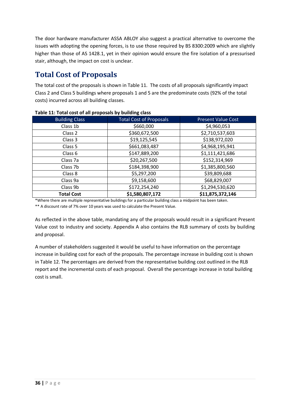The door hardware manufacturer ASSA ABLOY also suggest a practical alternative to overcome the issues with adopting the opening forces, is to use those required by BS 8300:2009 which are slightly higher than those of AS 1428.1, yet in their opinion would ensure the fire isolation of a pressurised stair, although, the impact on cost is unclear.

## <span id="page-35-0"></span>**Total Cost of Proposals**

The total cost of the proposals is shown in Table 11. The costs of all proposals significantly impact Class 2 and Class 5 buildings where proposals 1 and 5 are the predominate costs (92% of the total costs) incurred across all building classes.

| <b>Building Class</b> | <b>Total Cost of Proposals</b> | <b>Present Value Cost</b> |
|-----------------------|--------------------------------|---------------------------|
| Class 1b              | \$660,000                      | \$4,960,053               |
| Class <sub>2</sub>    | \$360,672,500                  | \$2,710,537,603           |
| Class 3               | \$19,125,545                   | \$138,972,020             |
| Class 5               | \$661,083,487                  | \$4,968,195,941           |
| Class 6               | \$147,889,200                  | \$1,111,421,686           |
| Class 7a              | \$20,267,500                   | \$152,314,969             |
| Class 7b              | \$184,398,900                  | \$1,385,800,560           |
| Class 8               | \$5,297,200                    | \$39,809,688              |
| Class 9a              | \$9,158,600                    | \$68,829,007              |
| Class 9b              | \$172,254,240                  | \$1,294,530,620           |
| <b>Total Cost</b>     | \$1,580,807,172                | \$11,875,372,146          |

**Table 11: Total cost of all proposals by building class**

\*Where there are multiple representative buildings for a particular building class a midpoint has been taken. \*\* A discount rate of 7% over 10 years was used to calculate the Present Value.

As reflected in the above table, mandating any of the proposals would result in a significant Present Value cost to industry and society. Appendix A also contains the RLB summary of costs by building and proposal.

A number of stakeholders suggested it would be useful to have information on the percentage increase in building cost for each of the proposals. The percentage increase in building cost is shown in Table 12. The percentages are derived from the representative building cost outlined in the RLB report and the incremental costs of each proposal. Overall the percentage increase in total building cost is small.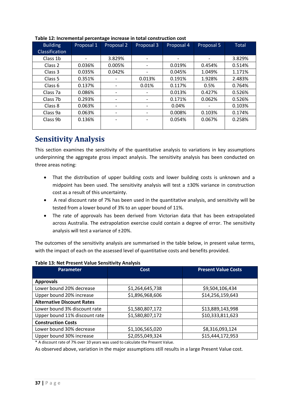| <b>Building</b>       | Proposal 1 | Proposal 2 | Proposal 3               | Proposal 4 | Proposal 5 | <b>Total</b> |
|-----------------------|------------|------------|--------------------------|------------|------------|--------------|
| <b>Classification</b> |            |            |                          |            |            |              |
| Class 1b              |            | 3.829%     | $\overline{\phantom{a}}$ |            |            | 3.829%       |
| Class <sub>2</sub>    | 0.036%     | 0.005%     | $\overline{\phantom{a}}$ | 0.019%     | 0.454%     | 0.514%       |
| Class <sub>3</sub>    | 0.035%     | 0.042%     | $\overline{\phantom{a}}$ | 0.045%     | 1.049%     | 1.171%       |
| Class <sub>5</sub>    | 0.351%     |            | 0.013%                   | 0.191%     | 1.928%     | 2.483%       |
| Class 6               | 0.137%     |            | 0.01%                    | 0.117%     | 0.5%       | 0.764%       |
| Class 7a              | 0.086%     | -          | -                        | 0.013%     | 0.427%     | 0.526%       |
| Class 7b              | 0.293%     |            | -                        | 0.171%     | 0.062%     | 0.526%       |
| Class 8               | 0.063%     |            | -                        | 0.04%      |            | 0.103%       |
| Class 9a              | 0.063%     |            | $\overline{\phantom{a}}$ | 0.008%     | 0.103%     | 0.174%       |
| Class 9b              | 0.136%     |            | $\overline{\phantom{a}}$ | 0.054%     | 0.067%     | 0.258%       |
|                       |            |            |                          |            |            |              |

#### **Table 12: Incremental percentage increase in total construction cost**

### <span id="page-36-0"></span>**Sensitivity Analysis**

This section examines the sensitivity of the quantitative analysis to variations in key assumptions underpinning the aggregate gross impact analysis. The sensitivity analysis has been conducted on three areas noting:

- That the distribution of upper building costs and lower building costs is unknown and a midpoint has been used. The sensitivity analysis will test a  $\pm 30\%$  variance in construction cost as a result of this uncertainty.
- A real discount rate of 7% has been used in the quantitative analysis, and sensitivity will be tested from a lower bound of 3% to an upper bound of 11%.
- The rate of approvals has been derived from Victorian data that has been extrapolated across Australia. The extrapolation exercise could contain a degree of error. The sensitivity analysis will test a variance of ±20%.

The outcomes of the sensitivity analysis are summarised in the table below, in present value terms, with the impact of each on the assessed level of quantitative costs and benefits provided.

| <b>Parameter</b>                  | Cost            | <b>Present Value Costs</b> |
|-----------------------------------|-----------------|----------------------------|
| <b>Approvals</b>                  |                 |                            |
| Lower bound 20% decrease          | \$1,264,645,738 | \$9,504,106,434            |
| Upper bound 20% increase          | \$1,896,968,606 | \$14,256,159,643           |
| <b>Alternative Discount Rates</b> |                 |                            |
| Lower bound 3% discount rate      | \$1,580,807,172 | \$13,889,143,998           |
| Upper bound 11% discount rate     | \$1,580,807,172 | \$10,333,811,623           |
| <b>Construction Costs</b>         |                 |                            |
| Lower bound 30% decrease          | \$1,106,565,020 | \$8,316,093,124            |
| Upper bound 30% increase          | \$2,055,049,324 | \$15,444,172,953           |

#### **Table 13: Net Present Value Sensitivity Analysis**

\* A discount rate of 7% over 10 years was used to calculate the Present Value.

As observed above, variation in the major assumptions still results in a large Present Value cost.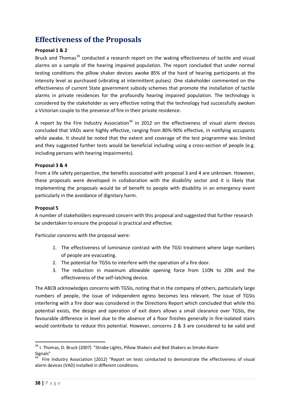## <span id="page-37-0"></span>**Effectiveness of the Proposals**

#### **Proposal 1 & 2**

Bruck and Thomas<sup>[39](#page-37-1)</sup> conducted a research report on the waking effectiveness of tactile and visual alarms on a sample of the hearing impaired population. The report concluded that under normal testing conditions the pillow shaker devices awoke 85% of the hard of hearing participants at the intensity level as purchased (vibrating at intermittent pulses). One stakeholder commented on the effectiveness of current State government subsidy schemes that promote the installation of tactile alarms in private residences for the profoundly hearing impaired population. The technology is considered by the stakeholder as very effective noting that the technology had successfully awoken a Victorian couple to the presence of fire in their private residence.

A report by the Fire Industry Association<sup>[40](#page-37-2)</sup> in 2012 on the effectiveness of visual alarm devices concluded that VADs were highly effective, ranging from 80%-90% effective, in notifying occupants while awake. It should be noted that the extent and coverage of the test programme was limited and they suggested further tests would be beneficial including using a cross-section of people (e.g. including persons with hearing impairments).

#### **Proposal 3 & 4**

From a life safety perspective, the benefits associated with proposal 3 and 4 are unknown. However, these proposals were developed in collaboration with the disability sector and it is likely that implementing the proposals would be of benefit to people with disability in an emergency event particularly in the avoidance of dignitary harm.

#### **Proposal 5**

A number of stakeholders expressed concern with this proposal and suggested that further research be undertaken to ensure the proposal is practical and effective.

Particular concerns with the proposal were:

- 1. The effectiveness of luminance contrast with the TGSI treatment where large numbers of people are evacuating.
- 2. The potential for TGSIs to interfere with the operation of a fire door.
- 3. The reduction in maximum allowable opening force from 110N to 20N and the effectiveness of the self-latching device.

The ABCB acknowledges concerns with TGSIs, noting that in the company of others, particularly large numbers of people, the issue of independent egress becomes less relevant. The issue of TGSIs interfering with a fire door was considered in the Directions Report which concluded that while this potential exists, the design and operation of exit doors allows a small clearance over TGSIs, the favourable difference in level due to the absence of a floor finishes generally in fire-isolated stairs would contribute to reduce this potential. However, concerns 2 & 3 are considered to be valid and

<span id="page-37-1"></span><sup>&</sup>lt;sup>39</sup> I. Thomas, D. Bruck (2007) "Strobe Lights, Pillow Shakers and Bed Shakers as Smoke Alarm Signals"

<span id="page-37-2"></span>Fire Industry Association (2012) "Report on tests conducted to demonstrate the effectiveness of visual alarm devices (VAD) installed in different conditions.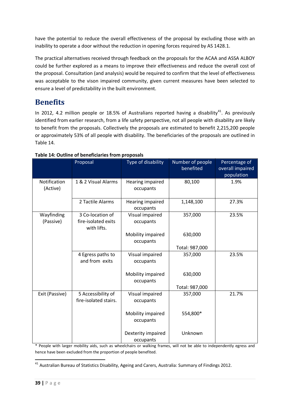have the potential to reduce the overall effectiveness of the proposal by excluding those with an inability to operate a door without the reduction in opening forces required by AS 1428.1.

The practical alternatives received through feedback on the proposals for the ACAA and ASSA ALBOY could be further explored as a means to improve their effectiveness and reduce the overall cost of the proposal. Consultation (and analysis) would be required to confirm that the level of effectiveness was acceptable to the vison impaired community, given current measures have been selected to ensure a level of predictability in the built environment.

### <span id="page-38-0"></span>**Benefits**

In 2012, 4.2 million people or 18.5% of Australians reported having a disability<sup>41</sup>. As previously identified from earlier research, from a life safety perspective, not all people with disability are likely to benefit from the proposals. Collectively the proposals are estimated to benefit 2,215,200 people or approximately 53% of all people with disability. The beneficiaries of the proposals are outlined in Table 14.

|                          | Proposal                                               | Type of disability              | Number of people<br>benefited | Percentage of<br>overall impaired<br>population |
|--------------------------|--------------------------------------------------------|---------------------------------|-------------------------------|-------------------------------------------------|
| Notification<br>(Active) | 1 & 2 Visual Alarms                                    | Hearing impaired<br>occupants   | 80,100                        | 1.9%                                            |
|                          | 2 Tactile Alarms                                       | Hearing impaired<br>occupants   | 1,148,100                     | 27.3%                                           |
| Wayfinding<br>(Passive)  | 3 Co-location of<br>fire-isolated exits<br>with lifts. | Visual impaired<br>occupants    | 357,000                       | 23.5%                                           |
|                          |                                                        | Mobility impaired<br>occupants  | 630,000                       |                                                 |
|                          |                                                        |                                 | Total: 987,000                |                                                 |
|                          | 4 Egress paths to<br>and from exits                    | Visual impaired<br>occupants    | 357,000                       | 23.5%                                           |
|                          |                                                        | Mobility impaired<br>occupants  | 630,000                       |                                                 |
|                          |                                                        |                                 | Total: 987,000                |                                                 |
| Exit (Passive)           | 5 Accessibility of<br>fire-isolated stairs.            | Visual impaired<br>occupants    | 357,000                       | 21.7%                                           |
|                          |                                                        | Mobility impaired<br>occupants  | 554,800*                      |                                                 |
|                          |                                                        | Dexterity impaired<br>occupants | Unknown                       |                                                 |

#### **Table 14: Outline of beneficiaries from proposals**

\* People with larger mobility aids, such as wheelchairs or walking frames, will not be able to independently egress and hence have been excluded from the proportion of people benefited.

1

<span id="page-38-1"></span> $^{41}$  Australian Bureau of Statistics Disability, Ageing and Carers, Australia: Summary of Findings 2012.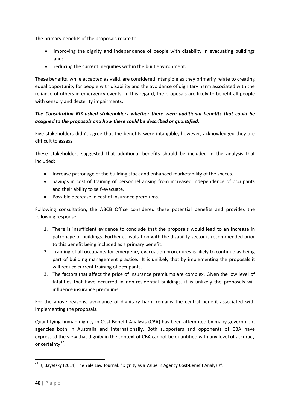The primary benefits of the proposals relate to:

- improving the dignity and independence of people with disability in evacuating buildings and:
- reducing the current inequities within the built environment.

These benefits, while accepted as valid, are considered intangible as they primarily relate to creating equal opportunity for people with disability and the avoidance of dignitary harm associated with the reliance of others in emergency events. In this regard, the proposals are likely to benefit all people with sensory and dexterity impairments.

#### *The Consultation RIS asked stakeholders whether there were additional benefits that could be assigned to the proposals and how these could be described or quantified.*

Five stakeholders didn't agree that the benefits were intangible, however, acknowledged they are difficult to assess.

These stakeholders suggested that additional benefits should be included in the analysis that included:

- Increase patronage of the building stock and enhanced marketability of the spaces.
- Savings in cost of training of personnel arising from increased independence of occupants and their ability to self-evacuate.
- Possible decrease in cost of insurance premiums.

Following consultation, the ABCB Office considered these potential benefits and provides the following response.

- 1. There is insufficient evidence to conclude that the proposals would lead to an increase in patronage of buildings. Further consultation with the disability sector is recommended prior to this benefit being included as a primary benefit.
- 2. Training of all occupants for emergency evacuation procedures is likely to continue as being part of building management practice. It is unlikely that by implementing the proposals it will reduce current training of occupants.
- 3. The factors that affect the price of insurance premiums are complex. Given the low level of fatalities that have occurred in non-residential buildings, it is unlikely the proposals will influence insurance premiums.

For the above reasons, avoidance of dignitary harm remains the central benefit associated with implementing the proposals.

Quantifying human dignity in Cost Benefit Analysis (CBA) has been attempted by many government agencies both in Australia and internationally. Both supporters and opponents of CBA have expressed the view that dignity in the context of CBA cannot be quantified with any level of accuracy or certainty $42$ .

<span id="page-39-0"></span> $^{42}$  R, Bayefsky (2014) The Yale Law Journal: "Dignity as a Value in Agency Cost-Benefit Analysis". 1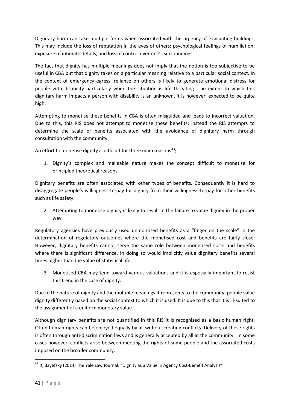Dignitary harm can take multiple forms when associated with the urgency of evacuating buildings. This may include the loss of reputation in the eyes of others; psychological feelings of humiliation; exposure of intimate details; and loss of control over one's surroundings.

The fact that dignity has multiple meanings does not imply that the notion is too subjective to be useful in CBA but that dignity takes on a particular meaning relative to a particular social context. In the context of emergency egress, reliance on others is likely to generate emotional distress for people with disability particularly when the situation is life threating. The extent to which this dignitary harm impacts a person with disability is an unknown, it is however, expected to be quite high.

Attempting to monetise these benefits in CBA is often misguided and leads to incorrect valuation. Due to this, this RIS does not attempt to monetise these benefits; instead the RIS attempts to determine the scale of benefits associated with the avoidance of dignitary harm through consultation with the community.

An effort to monetise dignity is difficult for three main reasons<sup>[43](#page-40-0)</sup>:

1. Dignity's complex and malleable nature makes the concept difficult to monetise for principled theoretical reasons.

Dignitary benefits are often associated with other types of benefits. Consequently it is hard to disaggregate people's willingness-to-pay for dignity from their willingness-to-pay for other benefits such as life safety.

2. Attempting to monetise dignity is likely to result in the failure to value dignity in the proper way.

Regulatory agencies have previously used unmontised benefits as a "finger on the scale" in the determination of regulatory outcomes where the monetised cost and benefits are fairly close. However, dignitary benefits cannot serve the same role between monetised costs and benefits where there is significant difference. In doing so would implicitly value dignitary benefits several times higher than the value of statistical life.

3. Monetised CBA may tend toward various valuations and it is especially important to resist this trend in the case of dignity.

Due to the nature of dignity and the multiple meanings it represents to the community, people value dignity differently based on the social context to which it is used. It is due to this that it is ill-suited to the assignment of a uniform monetary value.

Although dignitary benefits are not quantified in this RIS it is recognised as a basic human right. Often human rights can be enjoyed equally by all without creating conflicts. Delivery of these rights is often through anti-discrimination laws and is generally accepted by all in the community. In some cases however, conflicts arise between meeting the rights of some people and the associated costs imposed on the broader community.

<span id="page-40-0"></span> $^{43}$  R, Bayefsky (2014) The Yale Law Journal: "Dignity as a Value in Agency Cost-Benefit Analysis". 1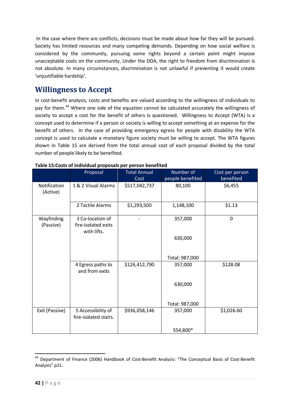In the case where there are conflicts, decisions must be made about how far they will be pursued. Society has limited resources and many competing demands. Depending on how social welfare is considered by the community, pursuing some rights beyond a certain point might impose unacceptable costs on the community. Under the DDA, the right to freedom from discrimination is not absolute. In many circumstances, discrimination is not unlawful if preventing it would create 'unjustifiable hardship'.

### <span id="page-41-0"></span>**Willingness to Accept**

In cost-benefit analysis, costs and benefits are valued according to the willingness of individuals to pay for them.<sup>[44](#page-41-1)</sup> Where one side of the equation cannot be calculated accurately the willingness of society to accept a cost for the benefit of others is questioned. Willingness to Accept (WTA) is a concept used to determine if a person or society is willing to accept something at an expense for the benefit of others. In the case of providing emergency egress for people with disability the WTA concept is used to calculate a monetary figure society must be willing to accept. The WTA figures shown in Table 15 are derived from the total annual cost of each proposal divided by the total number of people likely to be benefited.

|                          | Proposal                                               | <b>Total Annual</b> | Number of        | Cost per person |
|--------------------------|--------------------------------------------------------|---------------------|------------------|-----------------|
|                          |                                                        | Cost                | people benefited | benefited       |
| Notification<br>(Active) | 1 & 2 Visual Alarms                                    | \$517,042,737       | 80,100           | \$6,455         |
|                          | 2 Tactile Alarms                                       | \$1,293,500         | 1,148,100        | \$1.13          |
| Wayfinding<br>(Passive)  | 3 Co-location of<br>fire-isolated exits<br>with lifts. |                     | 357,000          | $\Omega$        |
|                          |                                                        |                     | 630,000          |                 |
|                          |                                                        |                     | Total: 987,000   |                 |
|                          | 4 Egress paths to<br>and from exits                    | \$126,412,790       | 357,000          | \$128.08        |
|                          |                                                        |                     | 630,000          |                 |
|                          |                                                        |                     | Total: 987,000   |                 |
| Exit (Passive)           | 5 Accessibility of<br>fire-isolated stairs.            | \$936,058,146       | 357,000          | \$1,026.60      |
|                          |                                                        |                     | 554,800*         |                 |

<span id="page-41-1"></span><sup>&</sup>lt;sup>44</sup> Department of Finance (2006) Handbook of Cost-Benefit Analysis: "The Conceptual Basis of Cost-Benefit Analysis" p21. **.**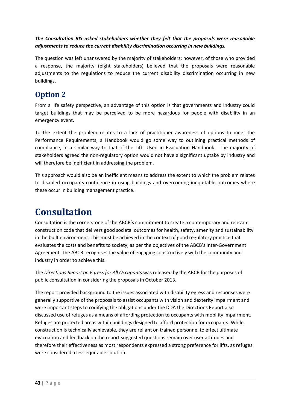#### *The Consultation RIS asked stakeholders whether they felt that the proposals were reasonable adjustments to reduce the current disability discrimination occurring in new buildings.*

The question was left unanswered by the majority of stakeholders; however, of those who provided a response, the majority (eight stakeholders) believed that the proposals were reasonable adjustments to the regulations to reduce the current disability discrimination occurring in new buildings.

## <span id="page-42-0"></span>**Option 2**

From a life safety perspective, an advantage of this option is that governments and industry could target buildings that may be perceived to be more hazardous for people with disability in an emergency event.

To the extent the problem relates to a lack of practitioner awareness of options to meet the Performance Requirements, a Handbook would go some way to outlining practical methods of compliance, in a similar way to that of the Lifts Used in Evacuation Handbook. The majority of stakeholders agreed the non-regulatory option would not have a significant uptake by industry and will therefore be inefficient in addressing the problem.

This approach would also be an inefficient means to address the extent to which the problem relates to disabled occupants confidence in using buildings and overcoming inequitable outcomes where these occur in building management practice.

# <span id="page-42-1"></span>**Consultation**

Consultation is the cornerstone of the ABCB's commitment to create a contemporary and relevant construction code that delivers good societal outcomes for health, safety, amenity and sustainability in the built environment. This must be achieved in the context of good regulatory practice that evaluates the costs and benefits to society, as per the objectives of the ABCB's Inter-Government Agreement. The ABCB recognises the value of engaging constructively with the community and industry in order to achieve this.

The *Directions Report on Egress for All Occupants* was released by the ABCB for the purposes of public consultation in considering the proposals in October 2013.

The report provided background to the issues associated with disability egress and responses were generally supportive of the proposals to assist occupants with vision and dexterity impairment and were important steps to codifying the obligations under the DDA the Directions Report also discussed use of refuges as a means of affording protection to occupants with mobility impairment. Refuges are protected areas within buildings designed to afford protection for occupants. While construction is technically achievable, they are reliant on trained personnel to effect ultimate evacuation and feedback on the report suggested questions remain over user attitudes and therefore their effectiveness as most respondents expressed a strong preference for lifts, as refuges were considered a less equitable solution.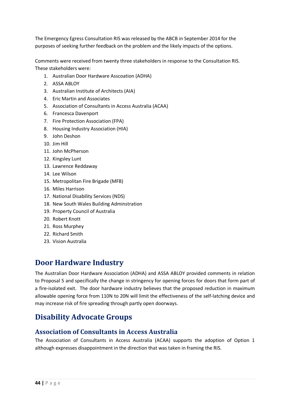The Emergency Egress Consultation RIS was released by the ABCB in September 2014 for the purposes of seeking further feedback on the problem and the likely impacts of the options.

Comments were received from twenty three stakeholders in response to the Consultation RIS. These stakeholders were:

- 1. Australian Door Hardware Asscoation (ADHA)
- 2. ASSA ABLOY
- 3. Australian Institute of Architects (AIA)
- 4. Eric Martin and Associates
- 5. Association of Consultants in Access Australia (ACAA)
- 6. Francesca Davenport
- 7. Fire Protection Association (FPA)
- 8. Housing Industry Association (HIA)
- 9. John Deshon
- 10. Jim Hill
- 11. John McPherson
- 12. Kingsley Lunt
- 13. Lawrence Reddaway
- 14. Lee Wilson
- 15. Metropolitan Fire Brigade (MFB)
- 16. Miles Harrison
- 17. National Disability Services (NDS)
- 18. New South Wales Building Adminstration
- 19. Property Council of Australia
- 20. Robert Knott
- 21. Ross Murphey
- 22. Richard Smith
- 23. Vision Australia

### **Door Hardware Industry**

The Australian Door Hardware Association (ADHA) and ASSA ABLOY provided comments in relation to Proposal 5 and specifically the change in stringency for opening forces for doors that form part of a fire-isolated exit. The door hardware industry believes that the proposed reduction in maximum allowable opening force from 110N to 20N will limit the effectiveness of the self-latching device and may increase risk of fire spreading through partly open doorways.

## **Disability Advocate Groups**

#### **Association of Consultants in Access Australia**

The Association of Consultants in Access Australia (ACAA) supports the adoption of Option 1 although expresses disappointment in the direction that was taken in framing the RIS.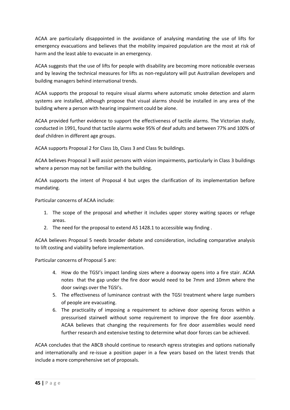ACAA are particularly disappointed in the avoidance of analysing mandating the use of lifts for emergency evacuations and believes that the mobility impaired population are the most at risk of harm and the least able to evacuate in an emergency.

ACAA suggests that the use of lifts for people with disability are becoming more noticeable overseas and by leaving the technical measures for lifts as non-regulatory will put Australian developers and building managers behind international trends.

ACAA supports the proposal to require visual alarms where automatic smoke detection and alarm systems are installed, although propose that visual alarms should be installed in any area of the building where a person with hearing impairment could be alone.

ACAA provided further evidence to support the effectiveness of tactile alarms. The Victorian study, conducted in 1991, found that tactile alarms woke 95% of deaf adults and between 77% and 100% of deaf children in different age groups.

ACAA supports Proposal 2 for Class 1b, Class 3 and Class 9c buildings.

ACAA believes Proposal 3 will assist persons with vision impairments, particularly in Class 3 buildings where a person may not be familiar with the building.

ACAA supports the intent of Proposal 4 but urges the clarification of its implementation before mandating.

Particular concerns of ACAA include:

- 1. The scope of the proposal and whether it includes upper storey waiting spaces or refuge areas.
- 2. The need for the proposal to extend AS 1428.1 to accessible way finding .

ACAA believes Proposal 5 needs broader debate and consideration, including comparative analysis to lift costing and viability before implementation.

Particular concerns of Proposal 5 are:

- 4. How do the TGSI's impact landing sizes where a doorway opens into a fire stair. ACAA notes that the gap under the fire door would need to be 7mm and 10mm where the door swings over the TGSI's.
- 5. The effectiveness of luminance contrast with the TGSI treatment where large numbers of people are evacuating.
- 6. The practicality of imposing a requirement to achieve door opening forces within a pressurised stairwell without some requirement to improve the fire door assembly. ACAA believes that changing the requirements for fire door assemblies would need further research and extensive testing to determine what door forces can be achieved.

ACAA concludes that the ABCB should continue to research egress strategies and options nationally and internationally and re-issue a position paper in a few years based on the latest trends that include a more comprehensive set of proposals.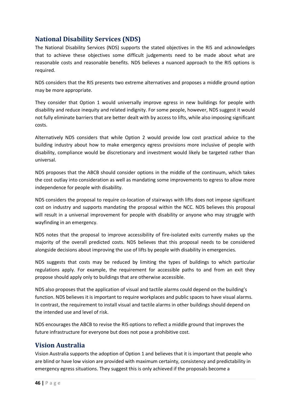### **National Disability Services (NDS)**

The National Disability Services (NDS) supports the stated objectives in the RIS and acknowledges that to achieve these objectives some difficult judgements need to be made about what are reasonable costs and reasonable benefits. NDS believes a nuanced approach to the RIS options is required.

NDS considers that the RIS presents two extreme alternatives and proposes a middle ground option may be more appropriate.

They consider that Option 1 would universally improve egress in new buildings for people with disability and reduce inequity and related indignity. For some people, however, NDS suggest it would not fully eliminate barriers that are better dealt with by access to lifts, while also imposing significant costs.

Alternatively NDS considers that while Option 2 would provide low cost practical advice to the building industry about how to make emergency egress provisions more inclusive of people with disability, compliance would be discretionary and investment would likely be targeted rather than universal.

NDS proposes that the ABCB should consider options in the middle of the continuum, which takes the cost outlay into consideration as well as mandating some improvements to egress to allow more independence for people with disability.

NDS considers the proposal to require co-location of stairways with lifts does not impose significant cost on industry and supports mandating the proposal within the NCC. NDS believes this proposal will result in a universal improvement for people with disability or anyone who may struggle with wayfinding in an emergency.

NDS notes that the proposal to improve accessibility of fire-isolated exits currently makes up the majority of the overall predicted costs. NDS believes that this proposal needs to be considered alongside decisions about improving the use of lifts by people with disability in emergencies.

NDS suggests that costs may be reduced by limiting the types of buildings to which particular regulations apply. For example, the requirement for accessible paths to and from an exit they propose should apply only to buildings that are otherwise accessible.

NDS also proposes that the application of visual and tactile alarms could depend on the building's function. NDS believes it is important to require workplaces and public spaces to have visual alarms. In contrast, the requirement to install visual and tactile alarms in other buildings should depend on the intended use and level of risk.

NDS encourages the ABCB to revise the RIS options to reflect a middle ground that improves the future infrastructure for everyone but does not pose a prohibitive cost.

### **Vision Australia**

Vision Australia supports the adoption of Option 1 and believes that it is important that people who are blind or have low vision are provided with maximum certainty, consistency and predictability in emergency egress situations. They suggest this is only achieved if the proposals become a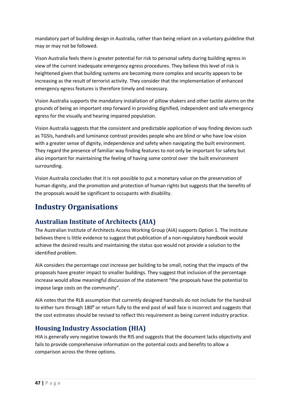mandatory part of building design in Australia, rather than being reliant on a voluntary guideline that may or may not be followed.

Vison Australia feels there is greater potential for risk to personal safety during building egress in view of the current inadequate emergency egress procedures. They believe this level of risk is heightened given that building systems are becoming more complex and security appears to be increasing as the result of terrorist activity. They consider that the implementation of enhanced emergency egress features is therefore timely and necessary.

Vision Australia supports the mandatory installation of pillow shakers and other tactile alarms on the grounds of being an important step forward in providing dignified, independent and safe emergency egress for the visually and hearing impaired population.

Vision Australia suggests that the consistent and predictable application of way finding devices such as TGSIs, handrails and luminance contrast provides people who are blind or who have low vision with a greater sense of dignity, independence and safety when navigating the built environment. They regard the presence of familiar way finding features to not only be important for safety but also important for maintaining the feeling of having some control over the built environment surrounding.

Vision Australia concludes that it is not possible to put a monetary value on the preservation of human dignity, and the promotion and protection of human rights but suggests that the benefits of the proposals would be significant to occupants with disability.

# **Industry Organisations**

### **Australian Institute of Architects (AIA)**

The Australian Institute of Architects Access Working Group (AIA) supports Option 1. The Institute believes there is little evidence to suggest that publication of a non-regulatory handbook would achieve the desired results and maintaining the status quo would not provide a solution to the identified problem.

AIA considers the percentage cost increase per building to be small, noting that the impacts of the proposals have greater impact to smaller buildings. They suggest that inclusion of the percentage increase would allow meaningful discussion of the statement "the proposals have the potential to impose large costs on the community".

AIA notes that the RLB assumption that currently designed handrails do not include for the handrail to either turn through 180<sup>o</sup> or return fully to the end post of wall face is incorrect and suggests that the cost estimates should be revised to reflect this requirement as being current industry practice.

### **Housing Industry Association (HIA)**

HIA is generally very negative towards the RIS and suggests that the document lacks objectivity and fails to provide comprehensive information on the potential costs and benefits to allow a comparison across the three options.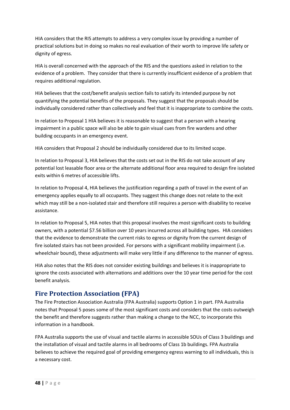HIA considers that the RIS attempts to address a very complex issue by providing a number of practical solutions but in doing so makes no real evaluation of their worth to improve life safety or dignity of egress.

HIA is overall concerned with the approach of the RIS and the questions asked in relation to the evidence of a problem. They consider that there is currently insufficient evidence of a problem that requires additional regulation.

HIA believes that the cost/benefit analysis section fails to satisfy its intended purpose by not quantifying the potential benefits of the proposals. They suggest that the proposals should be individually considered rather than collectively and feel that it is inappropriate to combine the costs.

In relation to Proposal 1 HIA believes it is reasonable to suggest that a person with a hearing impairment in a public space will also be able to gain visual cues from fire wardens and other building occupants in an emergency event.

HIA considers that Proposal 2 should be individually considered due to its limited scope.

In relation to Proposal 3, HIA believes that the costs set out in the RIS do not take account of any potential lost leasable floor area or the alternate additional floor area required to design fire isolated exits within 6 metres of accessible lifts.

In relation to Proposal 4, HIA believes the justification regarding a path of travel in the event of an emergency applies equally to all occupants. They suggest this change does not relate to the exit which may still be a non-isolated stair and therefore still requires a person with disability to receive assistance.

In relation to Proposal 5, HIA notes that this proposal involves the most significant costs to building owners, with a potential \$7.56 billion over 10 years incurred across all building types. HIA considers that the evidence to demonstrate the current risks to egress or dignity from the current design of fire isolated stairs has not been provided. For persons with a significant mobility impairment (i.e. wheelchair bound), these adjustments will make very little if any difference to the manner of egress.

HIA also notes that the RIS does not consider existing buildings and believes it is inappropriate to ignore the costs associated with alternations and additions over the 10 year time period for the cost benefit analysis.

### **Fire Protection Association (FPA)**

The Fire Protection Association Australia (FPA Australia) supports Option 1 in part. FPA Australia notes that Proposal 5 poses some of the most significant costs and considers that the costs outweigh the benefit and therefore suggests rather than making a change to the NCC, to incorporate this information in a handbook.

FPA Australia supports the use of visual and tactile alarms in accessible SOUs of Class 3 buildings and the installation of visual and tactile alarms in all bedrooms of Class 1b buildings. FPA Australia believes to achieve the required goal of providing emergency egress warning to all individuals, this is a necessary cost.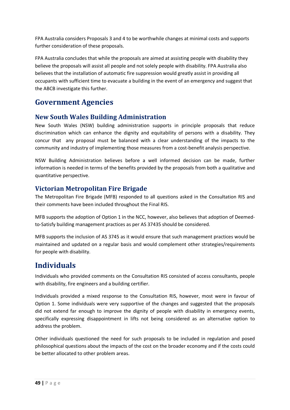FPA Australia considers Proposals 3 and 4 to be worthwhile changes at minimal costs and supports further consideration of these proposals.

FPA Australia concludes that while the proposals are aimed at assisting people with disability they believe the proposals will assist all people and not solely people with disability. FPA Australia also believes that the installation of automatic fire suppression would greatly assist in providing all occupants with sufficient time to evacuate a building in the event of an emergency and suggest that the ABCB investigate this further.

## **Government Agencies**

#### **New South Wales Building Administration**

New South Wales (NSW) building administration supports in principle proposals that reduce discrimination which can enhance the dignity and equitability of persons with a disability. They concur that any proposal must be balanced with a clear understanding of the impacts to the community and industry of implementing those measures from a cost-benefit analysis perspective.

NSW Building Administration believes before a well informed decision can be made, further information is needed in terms of the benefits provided by the proposals from both a qualitative and quantitative perspective.

### **Victorian Metropolitan Fire Brigade**

The Metropolitan Fire Brigade (MFB) responded to all questions asked in the Consultation RIS and their comments have been included throughout the Final RIS.

MFB supports the adoption of Option 1 in the NCC, however, also believes that adoption of Deemedto-Satisfy building management practices as per AS 37435 should be considered.

MFB supports the inclusion of AS 3745 as it would ensure that such management practices would be maintained and updated on a regular basis and would complement other strategies/requirements for people with disability.

### **Individuals**

Individuals who provided comments on the Consultation RIS consisted of access consultants, people with disability, fire engineers and a building certifier.

Individuals provided a mixed response to the Consultation RIS, however, most were in favour of Option 1. Some individuals were very supportive of the changes and suggested that the proposals did not extend far enough to improve the dignity of people with disability in emergency events, specifically expressing disappointment in lifts not being considered as an alternative option to address the problem.

Other individuals questioned the need for such proposals to be included in regulation and posed philosophical questions about the impacts of the cost on the broader economy and if the costs could be better allocated to other problem areas.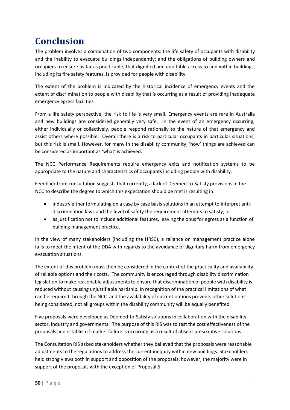# <span id="page-49-0"></span>**Conclusion**

The problem involves a combination of two components: the life safety of occupants with disability and the inability to evacuate buildings independently; and the obligations of building owners and occupiers to ensure as far as practicable, that dignified and equitable access to and within buildings, including its fire safety features, is provided for people with disability.

The extent of the problem is indicated by the historical incidence of emergency events and the extent of discrimination to people with disability that is occurring as a result of providing inadequate emergency egress facilities.

From a life safety perspective, the risk to life is very small. Emergency events are rare in Australia and new buildings are considered generally very safe. In the event of an emergency occurring, either individually or collectively, people respond rationally to the nature of that emergency and assist others where possible. Overall there is a risk to particular occupants in particular situations, but this risk is small. However, for many in the disability community, 'how' things are achieved can be considered as important as 'what' is achieved.

The NCC Performance Requirements require emergency exits and notification systems to be appropriate to the nature and characteristics of occupants including people with disability.

Feedback from consultation suggests that currently, a lack of Deemed-to-Satisfy provisions in the NCC to describe the degree to which this expectation should be met is resulting in:

- industry either formulating on a case by case basis solutions in an attempt to interpret antidiscrimination laws and the level of safety the requirement attempts to satisfy; or
- as justification not to include additional features, leaving the onus for egress as a function of building management practice.

In the view of many stakeholders (including the HRSC), a reliance on management practice alone fails to meet the intent of the DDA with regards to the avoidance of dignitary harm from emergency evacuation situations.

The extent of this problem must then be considered in the context of the practicality and availability of reliable options and their costs. The community is encouraged through disability discrimination legislation to make reasonable adjustments to ensure that discrimination of people with disability is reduced without causing unjustifiable hardship. In recognition of the practical limitations of what can be required through the NCC and the availability of current options prevents other solutions being considered, not all groups within the disability community will be equally benefited.

Five proposals were developed as Deemed-to-Satisfy solutions in collaboration with the disability sector, industry and governments. The purpose of this RIS was to test the cost effectiveness of the proposals and establish if market failure is occurring as a result of absent prescriptive solutions.

The Consultation RIS asked stakeholders whether they believed that the proposals were reasonable adjustments to the regulations to address the current inequity within new buildings. Stakeholders held strong views both in support and opposition of the proposals; however, the majority were in support of the proposals with the exception of Proposal 5.